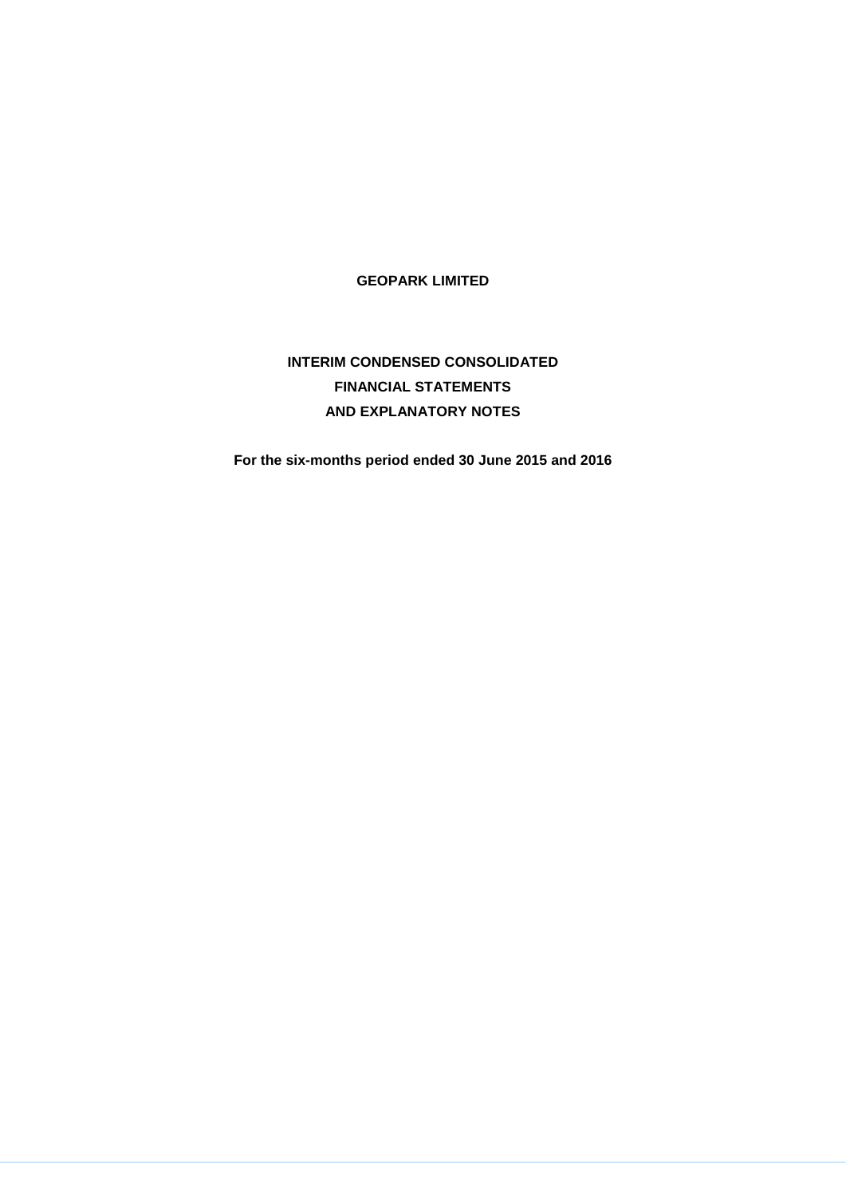**GEOPARK LIMITED**

# **INTERIM CONDENSED CONSOLIDATED FINANCIAL STATEMENTS AND EXPLANATORY NOTES**

**For the six-months period ended 30 June 2015 and 2016**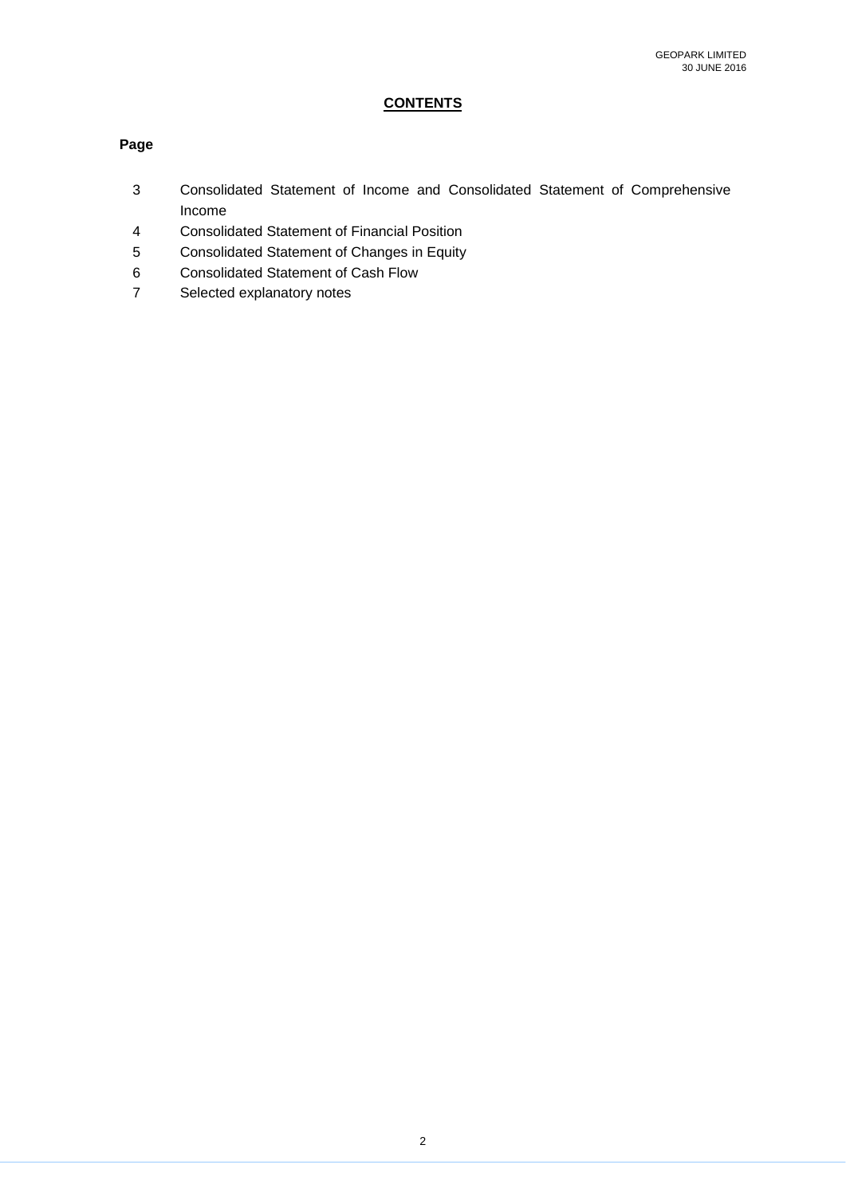## **CONTENTS**

### **Page**

- 3 Consolidated Statement of Income and Consolidated Statement of Comprehensive Income
- 4 Consolidated Statement of Financial Position
- 5 Consolidated Statement of Changes in Equity
- 6 Consolidated Statement of Cash Flow
- 7 Selected explanatory notes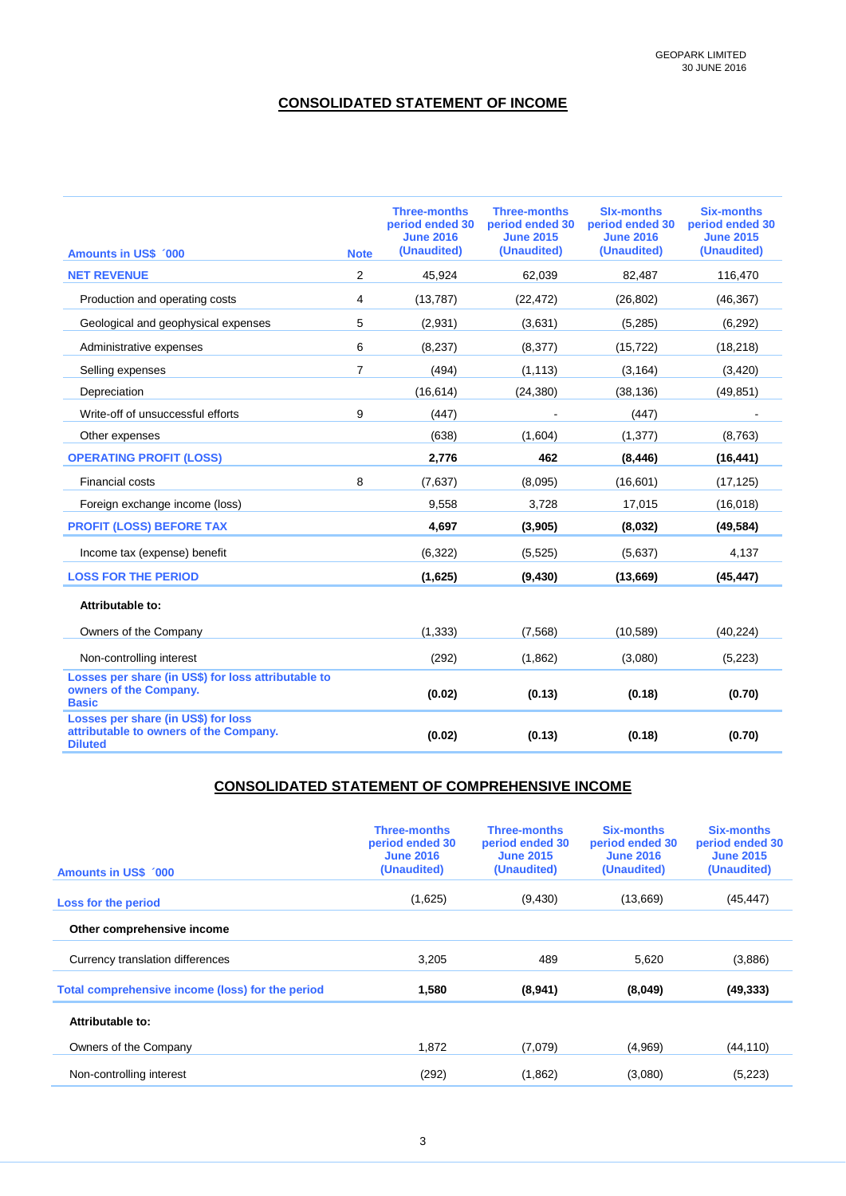### **CONSOLIDATED STATEMENT OF INCOME**

| <b>Amounts in US\$ '000</b>                                                                     | <b>Note</b>    | <b>Three-months</b><br>period ended 30<br><b>June 2016</b><br>(Unaudited) | <b>Three-months</b><br>period ended 30<br><b>June 2015</b><br>(Unaudited) | <b>Six-months</b><br>period ended 30<br><b>June 2016</b><br>(Unaudited) | <b>Six-months</b><br>period ended 30<br><b>June 2015</b><br>(Unaudited) |
|-------------------------------------------------------------------------------------------------|----------------|---------------------------------------------------------------------------|---------------------------------------------------------------------------|-------------------------------------------------------------------------|-------------------------------------------------------------------------|
| <b>NET REVENUE</b>                                                                              | $\overline{2}$ | 45,924                                                                    | 62,039                                                                    | 82,487                                                                  | 116,470                                                                 |
| Production and operating costs                                                                  | 4              | (13, 787)                                                                 | (22, 472)                                                                 | (26, 802)                                                               | (46, 367)                                                               |
| Geological and geophysical expenses                                                             | 5              | (2,931)                                                                   | (3,631)                                                                   | (5,285)                                                                 | (6, 292)                                                                |
| Administrative expenses                                                                         | 6              | (8, 237)                                                                  | (8,377)                                                                   | (15, 722)                                                               | (18, 218)                                                               |
| Selling expenses                                                                                | $\overline{7}$ | (494)                                                                     | (1, 113)                                                                  | (3, 164)                                                                | (3,420)                                                                 |
| Depreciation                                                                                    |                | (16, 614)                                                                 | (24, 380)                                                                 | (38, 136)                                                               | (49, 851)                                                               |
| Write-off of unsuccessful efforts                                                               | 9              | (447)                                                                     |                                                                           | (447)                                                                   |                                                                         |
| Other expenses                                                                                  |                | (638)                                                                     | (1,604)                                                                   | (1, 377)                                                                | (8,763)                                                                 |
| <b>OPERATING PROFIT (LOSS)</b>                                                                  |                | 2,776                                                                     | 462                                                                       | (8, 446)                                                                | (16, 441)                                                               |
| <b>Financial costs</b>                                                                          | 8              | (7,637)                                                                   | (8,095)                                                                   | (16, 601)                                                               | (17, 125)                                                               |
| Foreign exchange income (loss)                                                                  |                | 9,558                                                                     | 3,728                                                                     | 17,015                                                                  | (16,018)                                                                |
| <b>PROFIT (LOSS) BEFORE TAX</b>                                                                 |                | 4,697                                                                     | (3,905)                                                                   | (8,032)                                                                 | (49, 584)                                                               |
| Income tax (expense) benefit                                                                    |                | (6, 322)                                                                  | (5, 525)                                                                  | (5,637)                                                                 | 4,137                                                                   |
| <b>LOSS FOR THE PERIOD</b>                                                                      |                | (1,625)                                                                   | (9, 430)                                                                  | (13,669)                                                                | (45, 447)                                                               |
| Attributable to:                                                                                |                |                                                                           |                                                                           |                                                                         |                                                                         |
| Owners of the Company                                                                           |                | (1, 333)                                                                  | (7, 568)                                                                  | (10, 589)                                                               | (40, 224)                                                               |
| Non-controlling interest                                                                        |                | (292)                                                                     | (1,862)                                                                   | (3,080)                                                                 | (5,223)                                                                 |
| Losses per share (in US\$) for loss attributable to<br>owners of the Company.<br><b>Basic</b>   |                | (0.02)                                                                    | (0.13)                                                                    | (0.18)                                                                  | (0.70)                                                                  |
| Losses per share (in US\$) for loss<br>attributable to owners of the Company.<br><b>Diluted</b> |                | (0.02)                                                                    | (0.13)                                                                    | (0.18)                                                                  | (0.70)                                                                  |

### **CONSOLIDATED STATEMENT OF COMPREHENSIVE INCOME**

| <b>Amounts in US\$ 000</b>                       | <b>Three-months</b><br>period ended 30<br><b>June 2016</b><br>(Unaudited) | <b>Three-months</b><br>period ended 30<br><b>June 2015</b><br>(Unaudited) | <b>Six-months</b><br>period ended 30<br><b>June 2016</b><br>(Unaudited) | <b>Six-months</b><br>period ended 30<br><b>June 2015</b><br>(Unaudited) |
|--------------------------------------------------|---------------------------------------------------------------------------|---------------------------------------------------------------------------|-------------------------------------------------------------------------|-------------------------------------------------------------------------|
| Loss for the period                              | (1,625)                                                                   | (9,430)                                                                   | (13,669)                                                                | (45, 447)                                                               |
| Other comprehensive income                       |                                                                           |                                                                           |                                                                         |                                                                         |
| Currency translation differences                 | 3,205                                                                     | 489                                                                       | 5,620                                                                   | (3,886)                                                                 |
| Total comprehensive income (loss) for the period | 1,580                                                                     | (8,941)                                                                   | (8,049)                                                                 | (49, 333)                                                               |
| Attributable to:                                 |                                                                           |                                                                           |                                                                         |                                                                         |
| Owners of the Company                            | 1.872                                                                     | (7,079)                                                                   | (4,969)                                                                 | (44, 110)                                                               |
| Non-controlling interest                         | (292)                                                                     | (1,862)                                                                   | (3,080)                                                                 | (5,223)                                                                 |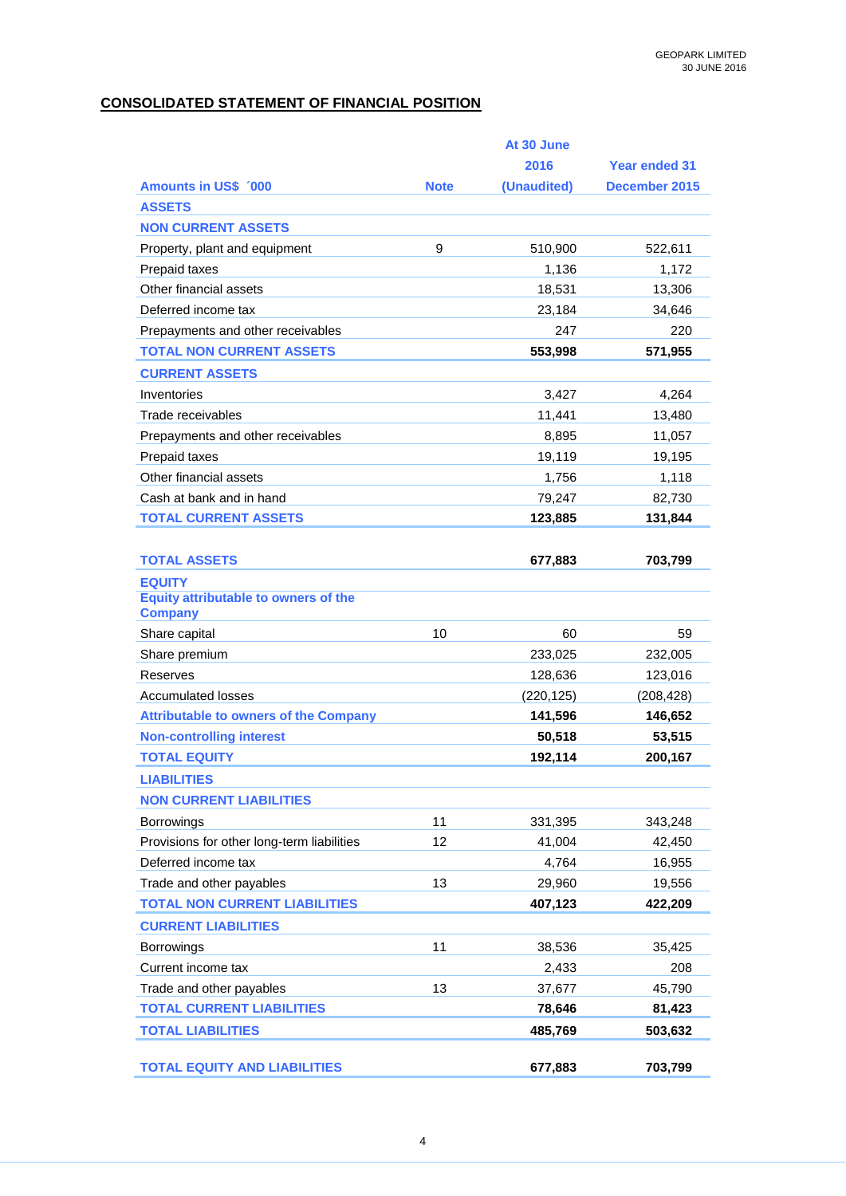## **CONSOLIDATED STATEMENT OF FINANCIAL POSITION**

|                                              |             | At 30 June  |                      |
|----------------------------------------------|-------------|-------------|----------------------|
|                                              |             | 2016        | <b>Year ended 31</b> |
| <b>Amounts in US\$ 000</b>                   | <b>Note</b> | (Unaudited) | December 2015        |
| <b>ASSETS</b>                                |             |             |                      |
| <b>NON CURRENT ASSETS</b>                    |             |             |                      |
| Property, plant and equipment                | 9           | 510,900     | 522,611              |
| Prepaid taxes                                |             | 1,136       | 1,172                |
| Other financial assets                       |             | 18,531      | 13,306               |
| Deferred income tax                          |             | 23,184      | 34,646               |
| Prepayments and other receivables            |             | 247         | 220                  |
| <b>TOTAL NON CURRENT ASSETS</b>              |             | 553,998     | 571,955              |
| <b>CURRENT ASSETS</b>                        |             |             |                      |
| Inventories                                  |             | 3,427       | 4,264                |
| Trade receivables                            |             | 11,441      | 13,480               |
| Prepayments and other receivables            |             | 8,895       | 11,057               |
| Prepaid taxes                                |             | 19,119      | 19,195               |
| Other financial assets                       |             | 1,756       | 1,118                |
| Cash at bank and in hand                     |             | 79,247      | 82,730               |
| <b>TOTAL CURRENT ASSETS</b>                  |             | 123,885     | 131,844              |
|                                              |             |             |                      |
| <b>TOTAL ASSETS</b>                          |             | 677,883     | 703,799              |
| <b>EQUITY</b>                                |             |             |                      |
| <b>Equity attributable to owners of the</b>  |             |             |                      |
| <b>Company</b>                               |             |             |                      |
| Share capital                                | 10          | 60          | 59                   |
| Share premium                                |             | 233,025     | 232,005              |
| <b>Reserves</b>                              |             | 128,636     | 123,016              |
| <b>Accumulated losses</b>                    |             | (220, 125)  | (208, 428)           |
| <b>Attributable to owners of the Company</b> |             | 141,596     | 146,652              |
| <b>Non-controlling interest</b>              |             | 50,518      | 53,515               |
| <b>TOTAL EQUITY</b>                          |             | 192,114     | 200,167              |
| <b>LIABILITIES</b>                           |             |             |                      |
| <b>NON CURRENT LIABILITIES</b>               |             |             |                      |
| Borrowings                                   | 11          | 331,395     | 343,248              |
| Provisions for other long-term liabilities   | 12          | 41,004      | 42,450               |
| Deferred income tax                          |             | 4,764       | 16,955               |
| Trade and other payables                     | 13          | 29,960      | 19,556               |
| <b>TOTAL NON CURRENT LIABILITIES</b>         |             | 407,123     | 422,209              |
| <b>CURRENT LIABILITIES</b>                   |             |             |                      |
| <b>Borrowings</b>                            | 11          | 38,536      | 35,425               |
| Current income tax                           |             | 2,433       | 208                  |
| Trade and other payables                     | 13          | 37,677      | 45,790               |
| <b>TOTAL CURRENT LIABILITIES</b>             |             | 78,646      | 81,423               |
| <b>TOTAL LIABILITIES</b>                     |             | 485,769     | 503,632              |
|                                              |             |             |                      |
| <b>TOTAL EQUITY AND LIABILITIES</b>          |             | 677,883     | 703,799              |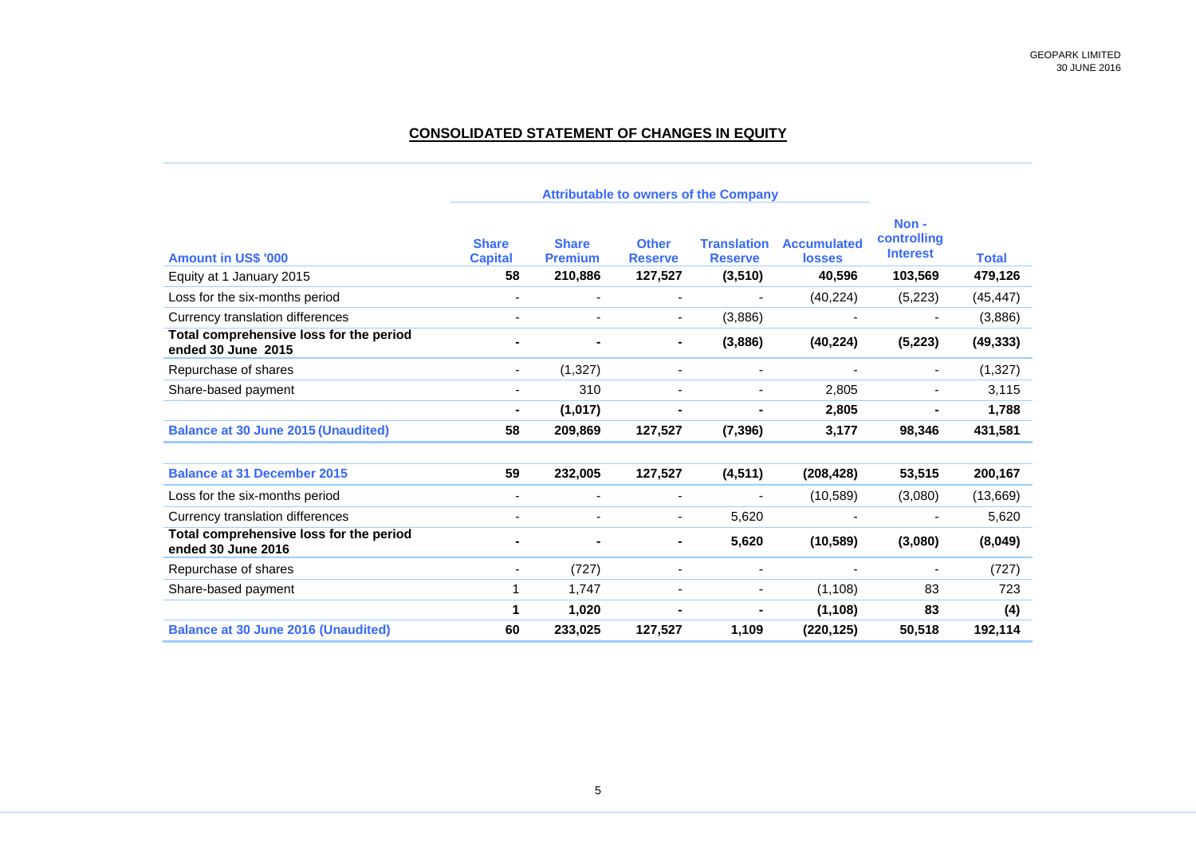### **CONSOLIDATED STATEMENT OF CHANGES IN EQUITY**

| <b>Amount in US\$ '000</b>                                    | <b>Share</b><br><b>Capital</b> | <b>Share</b><br><b>Premium</b> | <b>Other</b><br><b>Reserve</b> | <b>Translation</b><br><b>Reserve</b> | <b>Accumulated</b><br><b>losses</b> | Non-<br>controlling<br><b>Interest</b> | <b>Total</b> |
|---------------------------------------------------------------|--------------------------------|--------------------------------|--------------------------------|--------------------------------------|-------------------------------------|----------------------------------------|--------------|
| Equity at 1 January 2015                                      | 58                             | 210,886                        | 127,527                        | (3, 510)                             | 40,596                              | 103,569                                | 479,126      |
| Loss for the six-months period                                | $\qquad \qquad \blacksquare$   | $\blacksquare$                 | $\blacksquare$                 |                                      | (40, 224)                           | (5,223)                                | (45, 447)    |
| Currency translation differences                              |                                |                                | $\overline{\phantom{a}}$       | (3,886)                              |                                     |                                        | (3,886)      |
| Total comprehensive loss for the period<br>ended 30 June 2015 |                                |                                |                                | (3,886)                              | (40, 224)                           | (5, 223)                               | (49, 333)    |
| Repurchase of shares                                          | $\overline{\phantom{0}}$       | (1, 327)                       | ٠                              | $\blacksquare$                       | $\overline{\phantom{a}}$            | $\overline{\phantom{a}}$               | (1, 327)     |
| Share-based payment                                           | ٠                              | 310                            |                                |                                      | 2,805                               |                                        | 3,115        |
|                                                               | -                              | (1, 017)                       |                                |                                      | 2,805                               |                                        | 1,788        |
| <b>Balance at 30 June 2015 (Unaudited)</b>                    | 58                             | 209,869                        | 127,527                        | (7, 396)                             | 3,177                               | 98,346                                 | 431,581      |
| <b>Balance at 31 December 2015</b>                            | 59                             | 232,005                        | 127,527                        | (4, 511)                             | (208, 428)                          | 53,515                                 | 200,167      |
| Loss for the six-months period                                | ۰                              | $\overline{\phantom{a}}$       | ٠                              | $\blacksquare$                       | (10, 589)                           | (3,080)                                | (13,669)     |
| Currency translation differences                              |                                |                                |                                | 5,620                                |                                     |                                        | 5,620        |
| Total comprehensive loss for the period<br>ended 30 June 2016 |                                |                                |                                | 5,620                                | (10, 589)                           | (3,080)                                | (8,049)      |
| Repurchase of shares                                          | ٠                              | (727)                          |                                | $\overline{\phantom{a}}$             |                                     |                                        | (727)        |
| Share-based payment                                           | 1                              | 1,747                          |                                | $\blacksquare$                       | (1, 108)                            | 83                                     | 723          |
|                                                               | 1                              | 1,020                          |                                |                                      | (1, 108)                            | 83                                     | (4)          |
| <b>Balance at 30 June 2016 (Unaudited)</b>                    | 60                             | 233,025                        | 127,527                        | 1,109                                | (220, 125)                          | 50,518                                 | 192,114      |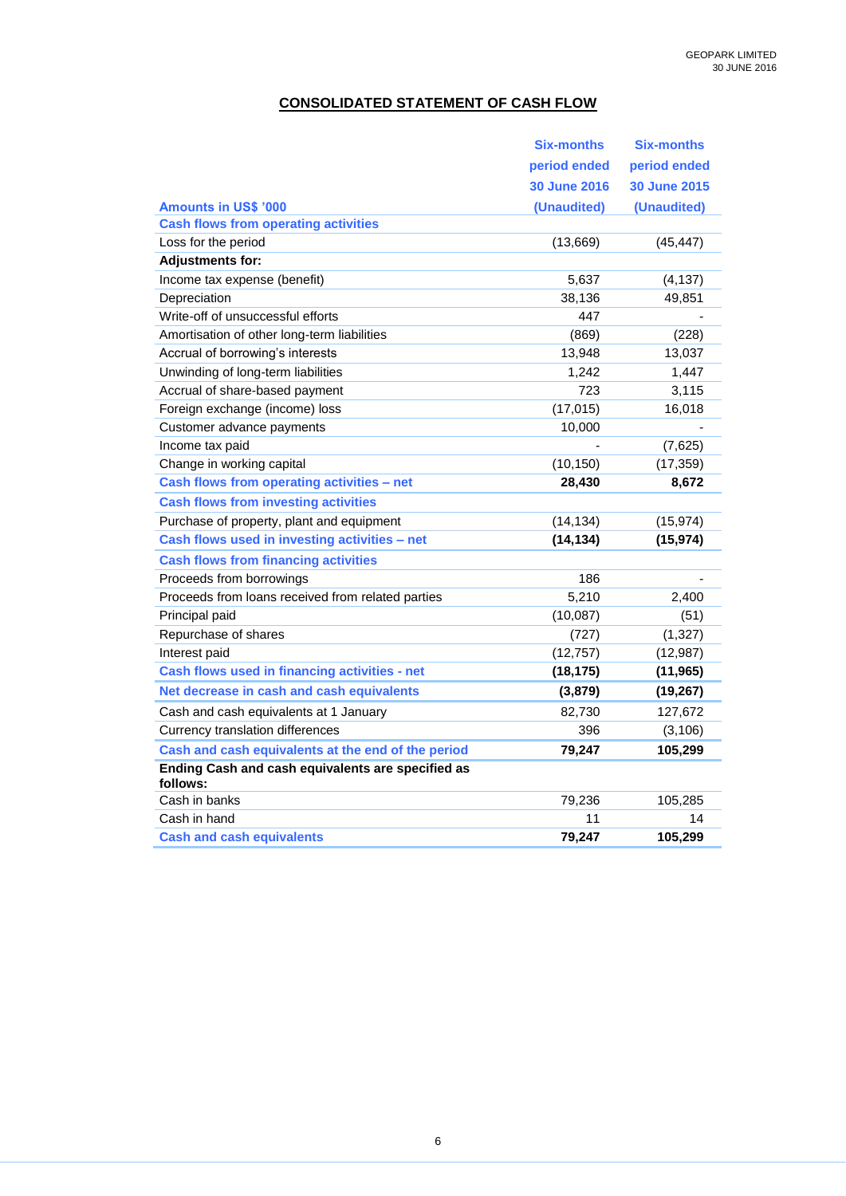## **CONSOLIDATED STATEMENT OF CASH FLOW**

|                                                               | <b>Six-months</b>   | Six-months   |
|---------------------------------------------------------------|---------------------|--------------|
|                                                               | period ended        | period ended |
|                                                               | <b>30 June 2016</b> | 30 June 2015 |
| <b>Amounts in US\$ '000</b>                                   | (Unaudited)         | (Unaudited)  |
| <b>Cash flows from operating activities</b>                   |                     |              |
| Loss for the period                                           | (13,669)            | (45, 447)    |
| <b>Adjustments for:</b>                                       |                     |              |
| Income tax expense (benefit)                                  | 5,637               | (4, 137)     |
| Depreciation                                                  | 38,136              | 49,851       |
| Write-off of unsuccessful efforts                             | 447                 |              |
| Amortisation of other long-term liabilities                   | (869)               | (228)        |
| Accrual of borrowing's interests                              | 13,948              | 13,037       |
| Unwinding of long-term liabilities                            | 1,242               | 1,447        |
| Accrual of share-based payment                                | 723                 | 3,115        |
| Foreign exchange (income) loss                                | (17, 015)           | 16,018       |
| Customer advance payments                                     | 10,000              |              |
| Income tax paid                                               |                     | (7,625)      |
| Change in working capital                                     | (10, 150)           | (17, 359)    |
| Cash flows from operating activities - net                    | 28,430              | 8,672        |
| <b>Cash flows from investing activities</b>                   |                     |              |
| Purchase of property, plant and equipment                     | (14, 134)           | (15, 974)    |
| Cash flows used in investing activities - net                 | (14, 134)           | (15, 974)    |
| <b>Cash flows from financing activities</b>                   |                     |              |
| Proceeds from borrowings                                      | 186                 |              |
| Proceeds from loans received from related parties             | 5,210               | 2,400        |
| Principal paid                                                | (10,087)            | (51)         |
| Repurchase of shares                                          | (727)               | (1, 327)     |
| Interest paid                                                 | (12, 757)           | (12,987)     |
| Cash flows used in financing activities - net                 | (18, 175)           | (11, 965)    |
| Net decrease in cash and cash equivalents                     | (3, 879)            | (19, 267)    |
| Cash and cash equivalents at 1 January                        | 82,730              | 127,672      |
| <b>Currency translation differences</b>                       | 396                 | (3, 106)     |
| Cash and cash equivalents at the end of the period            | 79,247              | 105,299      |
| Ending Cash and cash equivalents are specified as<br>follows: |                     |              |
| Cash in banks                                                 | 79,236              | 105,285      |
| Cash in hand                                                  | 11                  | 14           |
| <b>Cash and cash equivalents</b>                              | 79,247              | 105,299      |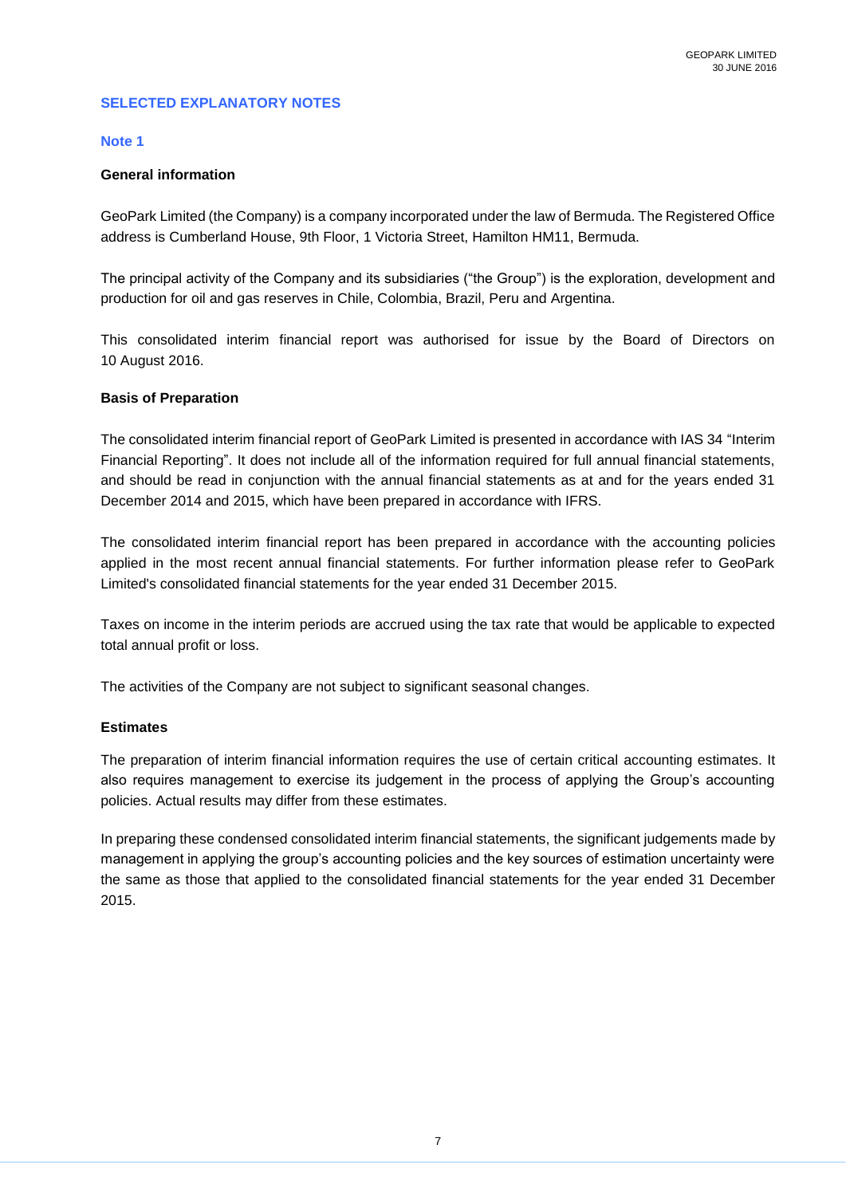### **SELECTED EXPLANATORY NOTES**

### **Note 1**

### **General information**

GeoPark Limited (the Company) is a company incorporated under the law of Bermuda. The Registered Office address is Cumberland House, 9th Floor, 1 Victoria Street, Hamilton HM11, Bermuda.

The principal activity of the Company and its subsidiaries ("the Group") is the exploration, development and production for oil and gas reserves in Chile, Colombia, Brazil, Peru and Argentina.

This consolidated interim financial report was authorised for issue by the Board of Directors on 10 August 2016.

### **Basis of Preparation**

The consolidated interim financial report of GeoPark Limited is presented in accordance with IAS 34 "Interim Financial Reporting". It does not include all of the information required for full annual financial statements, and should be read in conjunction with the annual financial statements as at and for the years ended 31 December 2014 and 2015, which have been prepared in accordance with IFRS.

The consolidated interim financial report has been prepared in accordance with the accounting policies applied in the most recent annual financial statements. For further information please refer to GeoPark Limited's consolidated financial statements for the year ended 31 December 2015.

Taxes on income in the interim periods are accrued using the tax rate that would be applicable to expected total annual profit or loss.

The activities of the Company are not subject to significant seasonal changes.

### **Estimates**

The preparation of interim financial information requires the use of certain critical accounting estimates. It also requires management to exercise its judgement in the process of applying the Group's accounting policies. Actual results may differ from these estimates.

In preparing these condensed consolidated interim financial statements, the significant judgements made by management in applying the group's accounting policies and the key sources of estimation uncertainty were the same as those that applied to the consolidated financial statements for the year ended 31 December 2015.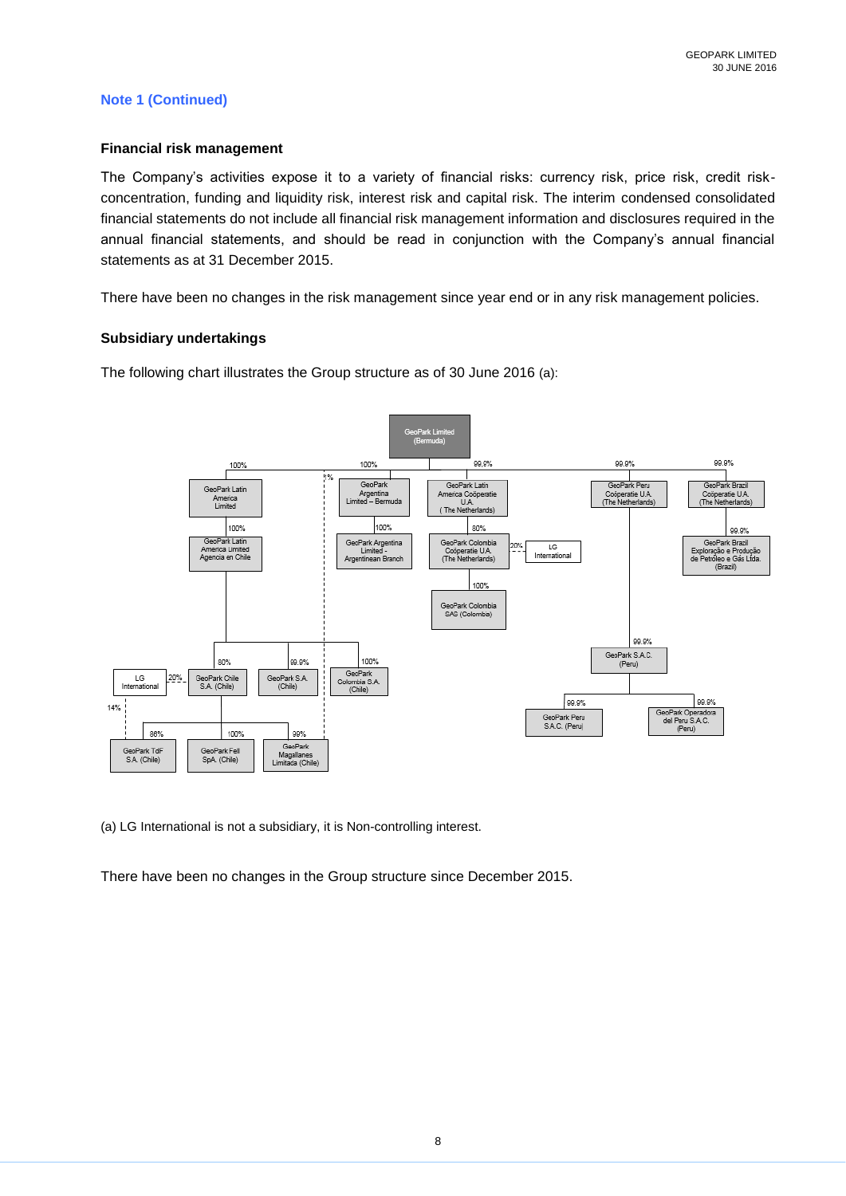### **Note 1 (Continued)**

#### **Financial risk management**

The Company's activities expose it to a variety of financial risks: currency risk, price risk, credit riskconcentration, funding and liquidity risk, interest risk and capital risk. The interim condensed consolidated financial statements do not include all financial risk management information and disclosures required in the annual financial statements, and should be read in conjunction with the Company's annual financial statements as at 31 December 2015.

There have been no changes in the risk management since year end or in any risk management policies.

#### **Subsidiary undertakings**

The following chart illustrates the Group structure as of 30 June 2016 (a):



(a) LG International is not a subsidiary, it is Non-controlling interest.

There have been no changes in the Group structure since December 2015.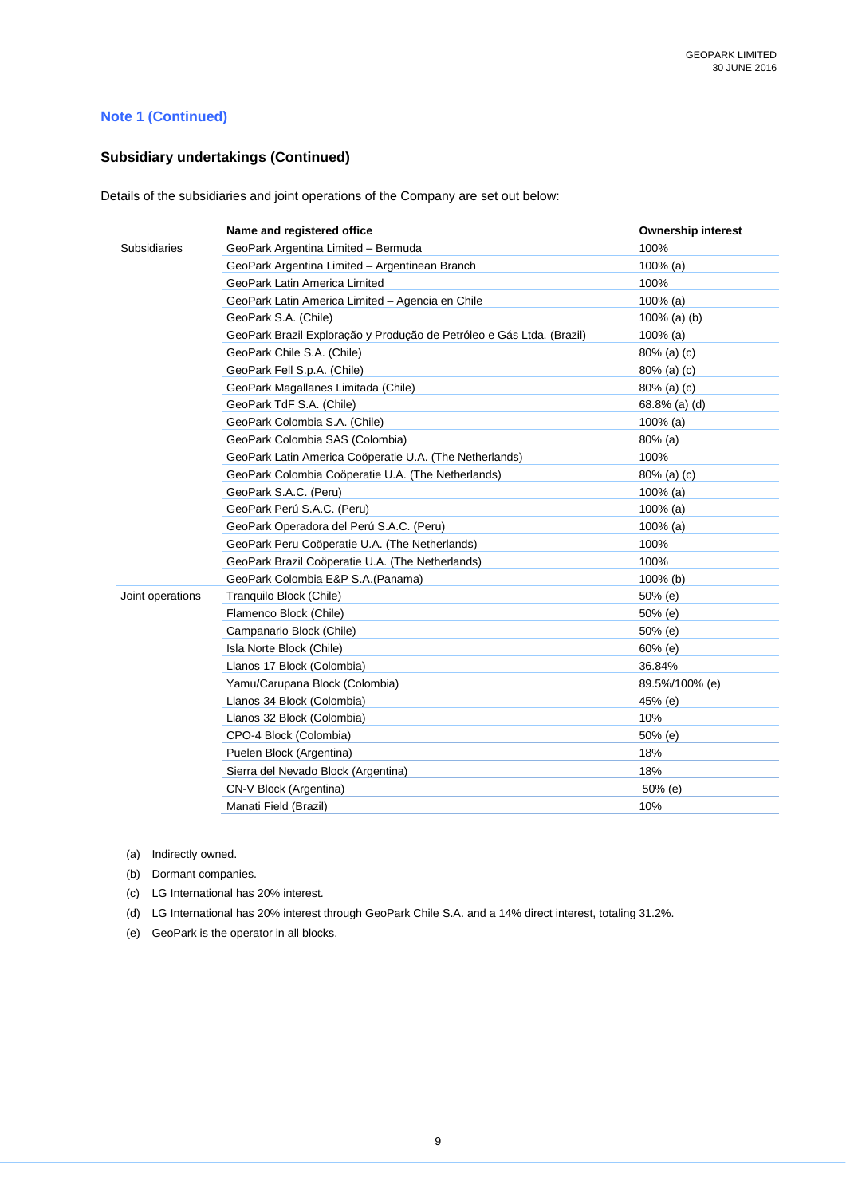### **Note 1 (Continued)**

### **Subsidiary undertakings (Continued)**

Details of the subsidiaries and joint operations of the Company are set out below:

|                  | Name and registered office                                            | <b>Ownership interest</b> |
|------------------|-----------------------------------------------------------------------|---------------------------|
| Subsidiaries     | GeoPark Argentina Limited - Bermuda                                   | 100%                      |
|                  | GeoPark Argentina Limited - Argentinean Branch                        | $100\%$ (a)               |
|                  | GeoPark Latin America Limited                                         | 100%                      |
|                  | GeoPark Latin America Limited - Agencia en Chile                      | $100\%$ (a)               |
|                  | GeoPark S.A. (Chile)                                                  | 100% (a) (b)              |
|                  | GeoPark Brazil Exploração y Produção de Petróleo e Gás Ltda. (Brazil) | $100\%$ (a)               |
|                  | GeoPark Chile S.A. (Chile)                                            | 80% (a) (c)               |
|                  | GeoPark Fell S.p.A. (Chile)                                           | $80\%$ (a) (c)            |
|                  | GeoPark Magallanes Limitada (Chile)                                   | 80% (a) (c)               |
|                  | GeoPark TdF S.A. (Chile)                                              | 68.8% (a) (d)             |
|                  | GeoPark Colombia S.A. (Chile)                                         | $100\%$ (a)               |
|                  | GeoPark Colombia SAS (Colombia)                                       | 80% (a)                   |
|                  | GeoPark Latin America Coöperatie U.A. (The Netherlands)               | 100%                      |
|                  | GeoPark Colombia Coöperatie U.A. (The Netherlands)                    | 80% (a) (c)               |
|                  | GeoPark S.A.C. (Peru)                                                 | $100\%$ (a)               |
|                  | GeoPark Perú S.A.C. (Peru)                                            | $100\%$ (a)               |
|                  | GeoPark Operadora del Perú S.A.C. (Peru)                              | $100\%$ (a)               |
|                  | GeoPark Peru Coöperatie U.A. (The Netherlands)                        | 100%                      |
|                  | GeoPark Brazil Coöperatie U.A. (The Netherlands)                      | 100%                      |
|                  | GeoPark Colombia E&P S.A.(Panama)                                     | 100% (b)                  |
| Joint operations | Tranquilo Block (Chile)                                               | $50%$ (e)                 |
|                  | Flamenco Block (Chile)                                                | 50% (e)                   |
|                  | Campanario Block (Chile)                                              | 50% (e)                   |
|                  | Isla Norte Block (Chile)                                              | $60%$ (e)                 |
|                  | Llanos 17 Block (Colombia)                                            | 36.84%                    |
|                  | Yamu/Carupana Block (Colombia)                                        | 89.5%/100% (e)            |
|                  | Llanos 34 Block (Colombia)                                            | 45% (e)                   |
|                  | Llanos 32 Block (Colombia)                                            | 10%                       |
|                  | CPO-4 Block (Colombia)                                                | 50% (e)                   |
|                  | Puelen Block (Argentina)                                              | 18%                       |
|                  | Sierra del Nevado Block (Argentina)                                   | 18%                       |
|                  | CN-V Block (Argentina)                                                | 50% (e)                   |
|                  | Manati Field (Brazil)                                                 | 10%                       |

(a) Indirectly owned.

(b) Dormant companies.

(c) LG International has 20% interest.

(d) LG International has 20% interest through GeoPark Chile S.A. and a 14% direct interest, totaling 31.2%.

(e) GeoPark is the operator in all blocks.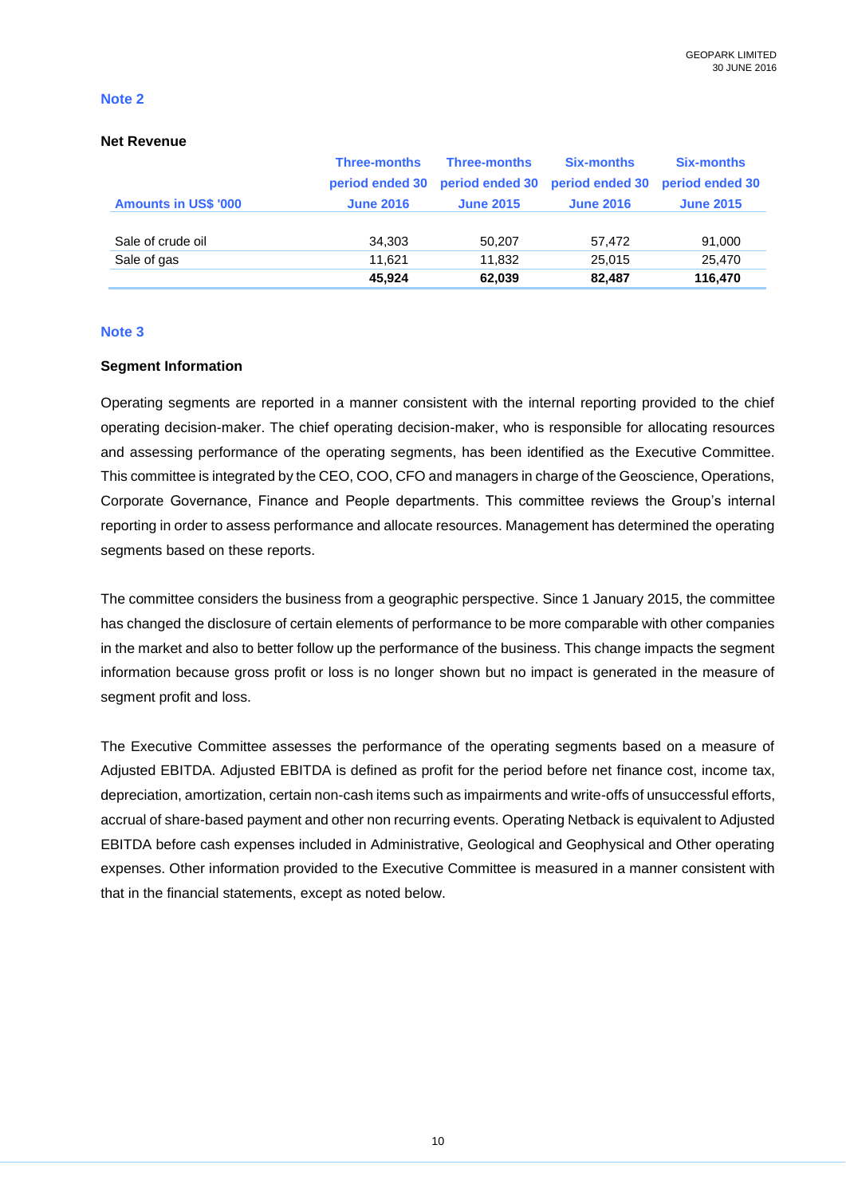#### **Net Revenue**

|                             | <b>Three-months</b> | <b>Three-months</b> | <b>Six-months</b>               | <b>Six-months</b> |
|-----------------------------|---------------------|---------------------|---------------------------------|-------------------|
|                             | period ended 30     |                     | period ended 30 period ended 30 | period ended 30   |
| <b>Amounts in US\$ '000</b> | <b>June 2016</b>    | <b>June 2015</b>    | <b>June 2016</b>                | <b>June 2015</b>  |
|                             |                     |                     |                                 |                   |
| Sale of crude oil           | 34,303              | 50,207              | 57,472                          | 91,000            |
| Sale of gas                 | 11.621              | 11,832              | 25.015                          | 25,470            |
|                             | 45.924              | 62,039              | 82,487                          | 116,470           |

#### **Note 3**

### **Segment Information**

Operating segments are reported in a manner consistent with the internal reporting provided to the chief operating decision-maker. The chief operating decision-maker, who is responsible for allocating resources and assessing performance of the operating segments, has been identified as the Executive Committee. This committee is integrated by the CEO, COO, CFO and managers in charge of the Geoscience, Operations, Corporate Governance, Finance and People departments. This committee reviews the Group's internal reporting in order to assess performance and allocate resources. Management has determined the operating segments based on these reports.

The committee considers the business from a geographic perspective. Since 1 January 2015, the committee has changed the disclosure of certain elements of performance to be more comparable with other companies in the market and also to better follow up the performance of the business. This change impacts the segment information because gross profit or loss is no longer shown but no impact is generated in the measure of segment profit and loss.

The Executive Committee assesses the performance of the operating segments based on a measure of Adjusted EBITDA. Adjusted EBITDA is defined as profit for the period before net finance cost, income tax, depreciation, amortization, certain non-cash items such as impairments and write-offs of unsuccessful efforts, accrual of share-based payment and other non recurring events. Operating Netback is equivalent to Adjusted EBITDA before cash expenses included in Administrative, Geological and Geophysical and Other operating expenses. Other information provided to the Executive Committee is measured in a manner consistent with that in the financial statements, except as noted below.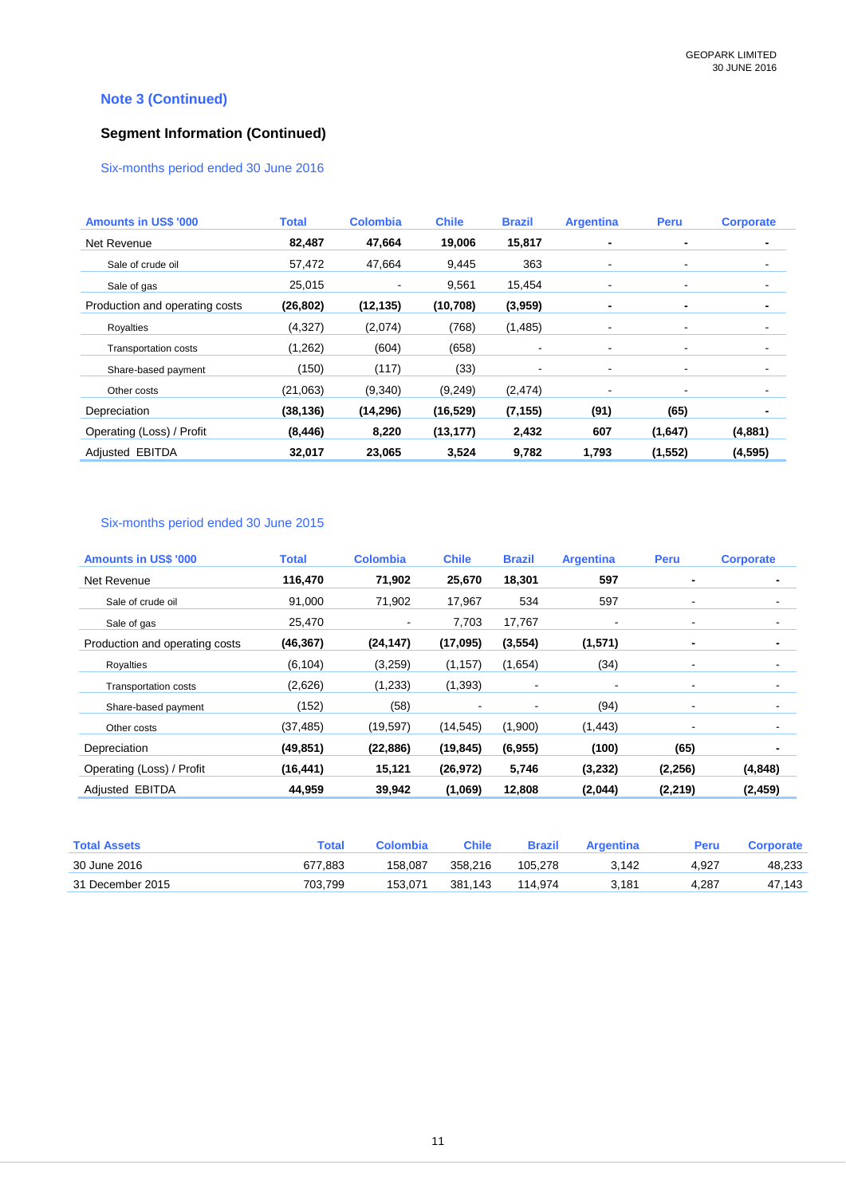## **Note 3 (Continued)**

## **Segment Information (Continued)**

### Six-months period ended 30 June 2016

| <b>Amounts in US\$ '000</b>    | <b>Total</b> | <b>Colombia</b> | <b>Chile</b> | <b>Brazil</b>  | <b>Argentina</b> | Peru           | <b>Corporate</b> |
|--------------------------------|--------------|-----------------|--------------|----------------|------------------|----------------|------------------|
| Net Revenue                    | 82,487       | 47,664          | 19,006       | 15,817         | ۰                | ٠              |                  |
| Sale of crude oil              | 57,472       | 47,664          | 9,445        | 363            | $\blacksquare$   | $\blacksquare$ |                  |
| Sale of gas                    | 25,015       | $\blacksquare$  | 9,561        | 15,454         | ٠                | $\blacksquare$ |                  |
| Production and operating costs | (26, 802)    | (12, 135)       | (10, 708)    | (3,959)        | $\blacksquare$   | ۰              |                  |
| Royalties                      | (4,327)      | (2,074)         | (768)        | (1,485)        | ۰                | $\blacksquare$ |                  |
| <b>Transportation costs</b>    | (1,262)      | (604)           | (658)        | $\blacksquare$ | ۰                |                |                  |
| Share-based payment            | (150)        | (117)           | (33)         | -              | ۰                |                |                  |
| Other costs                    | (21,063)     | (9,340)         | (9,249)      | (2, 474)       | ۰                | $\blacksquare$ |                  |
| Depreciation                   | (38, 136)    | (14, 296)       | (16, 529)    | (7, 155)       | (91)             | (65)           | ۰                |
| Operating (Loss) / Profit      | (8, 446)     | 8,220           | (13, 177)    | 2,432          | 607              | (1,647)        | (4,881)          |
| Adjusted EBITDA                | 32,017       | 23,065          | 3,524        | 9,782          | 1,793            | (1, 552)       | (4, 595)         |

### Six-months period ended 30 June 2015

| <b>Amounts in US\$ '000</b>    | <b>Total</b> | <b>Colombia</b> | <b>Chile</b> | <b>Brazil</b>            | <b>Argentina</b> | Peru           | <b>Corporate</b> |
|--------------------------------|--------------|-----------------|--------------|--------------------------|------------------|----------------|------------------|
| Net Revenue                    | 116,470      | 71,902          | 25,670       | 18,301                   | 597              |                | ٠                |
| Sale of crude oil              | 91,000       | 71,902          | 17,967       | 534                      | 597              |                |                  |
| Sale of gas                    | 25,470       | -               | 7,703        | 17,767                   |                  | $\blacksquare$ | -                |
| Production and operating costs | (46, 367)    | (24, 147)       | (17,095)     | (3, 554)                 | (1,571)          |                | ٠                |
| Royalties                      | (6, 104)     | (3,259)         | (1, 157)     | (1,654)                  | (34)             |                | ۰                |
| <b>Transportation costs</b>    | (2,626)      | (1,233)         | (1, 393)     |                          |                  |                | $\blacksquare$   |
| Share-based payment            | (152)        | (58)            |              | $\overline{\phantom{a}}$ | (94)             |                | $\blacksquare$   |
| Other costs                    | (37, 485)    | (19,597)        | (14, 545)    | (1,900)                  | (1, 443)         |                | $\blacksquare$   |
| Depreciation                   | (49, 851)    | (22, 886)       | (19, 845)    | (6, 955)                 | (100)            | (65)           | ٠                |
| Operating (Loss) / Profit      | (16, 441)    | 15,121          | (26, 972)    | 5,746                    | (3,232)          | (2, 256)       | (4, 848)         |
| Adiusted EBITDA                | 44,959       | 39,942          | (1,069)      | 12,808                   | (2,044)          | (2, 219)       | (2, 459)         |

| <b>Total Assets</b> | <b>Total</b> | Colombia | Chile   | <b>Brazil</b> | Argentina | Peru  | Corporate |
|---------------------|--------------|----------|---------|---------------|-----------|-------|-----------|
| 30 June 2016        | 677.883      | 158.087  | 358.216 | 105.278       | 3.142     | 4.927 | 48.233    |
| 31 December 2015    | 703.799      | 153.071  | 381.143 | 114.974       | 3,181     | 4.287 | 47,143    |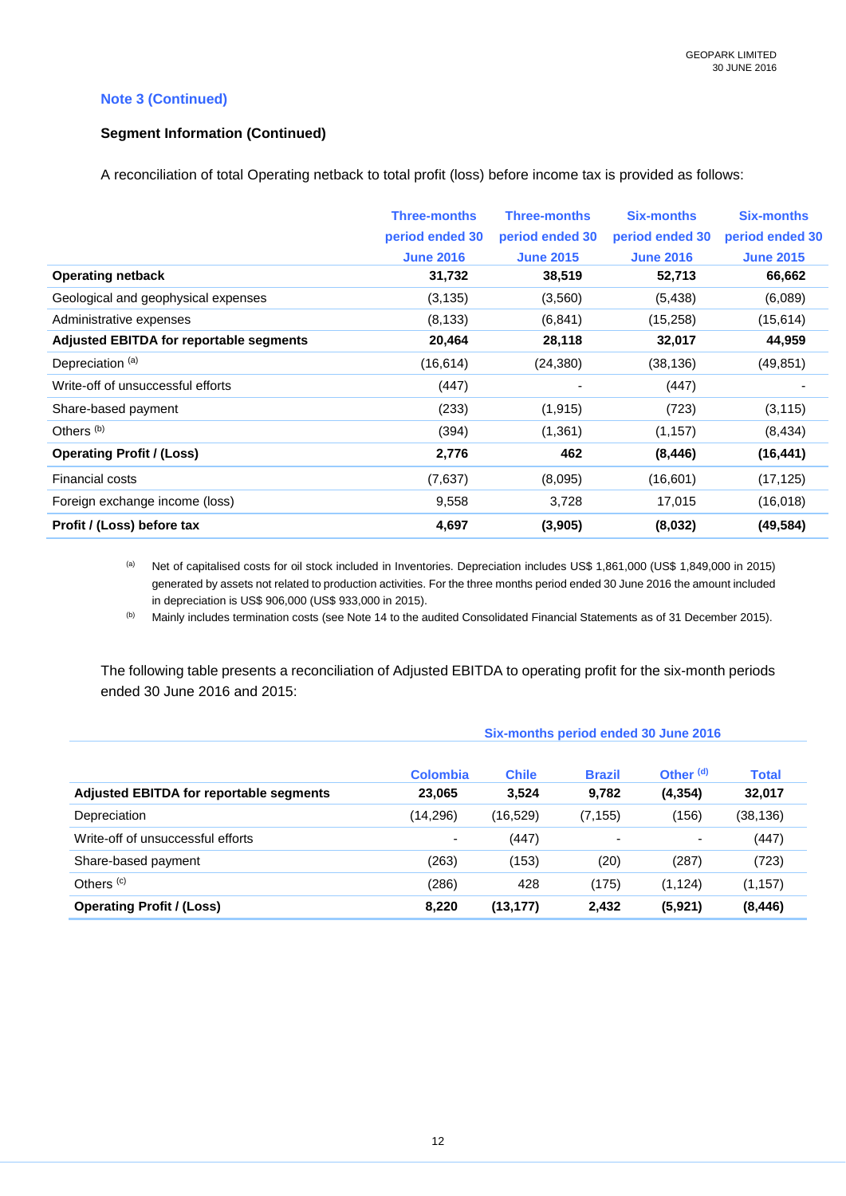### **Note 3 (Continued)**

### **Segment Information (Continued)**

A reconciliation of total Operating netback to total profit (loss) before income tax is provided as follows:

|                                         | <b>Three-months</b><br>period ended 30<br><b>June 2016</b> | <b>Three-months</b><br>period ended 30<br><b>June 2015</b> | <b>Six-months</b><br>period ended 30<br><b>June 2016</b> | <b>Six-months</b><br>period ended 30<br><b>June 2015</b> |
|-----------------------------------------|------------------------------------------------------------|------------------------------------------------------------|----------------------------------------------------------|----------------------------------------------------------|
| <b>Operating netback</b>                | 31,732                                                     | 38,519                                                     | 52,713                                                   | 66,662                                                   |
| Geological and geophysical expenses     | (3, 135)                                                   | (3,560)                                                    | (5, 438)                                                 | (6,089)                                                  |
| Administrative expenses                 | (8, 133)                                                   | (6, 841)                                                   | (15, 258)                                                | (15, 614)                                                |
| Adjusted EBITDA for reportable segments | 20,464                                                     | 28,118                                                     | 32,017                                                   | 44,959                                                   |
| Depreciation <sup>(a)</sup>             | (16, 614)                                                  | (24, 380)                                                  | (38,136)                                                 | (49, 851)                                                |
| Write-off of unsuccessful efforts       | (447)                                                      |                                                            | (447)                                                    |                                                          |
| Share-based payment                     | (233)                                                      | (1, 915)                                                   | (723)                                                    | (3, 115)                                                 |
| Others <sup>(b)</sup>                   | (394)                                                      | (1, 361)                                                   | (1, 157)                                                 | (8, 434)                                                 |
| <b>Operating Profit / (Loss)</b>        | 2,776                                                      | 462                                                        | (8, 446)                                                 | (16, 441)                                                |
| <b>Financial costs</b>                  | (7,637)                                                    | (8,095)                                                    | (16, 601)                                                | (17, 125)                                                |
| Foreign exchange income (loss)          | 9,558                                                      | 3,728                                                      | 17,015                                                   | (16,018)                                                 |
| Profit / (Loss) before tax              | 4,697                                                      | (3,905)                                                    | (8,032)                                                  | (49, 584)                                                |

(a) Net of capitalised costs for oil stock included in Inventories. Depreciation includes US\$ 1,861,000 (US\$ 1,849,000 in 2015) generated by assets not related to production activities. For the three months period ended 30 June 2016 the amount included in depreciation is US\$ 906,000 (US\$ 933,000 in 2015).

(b) Mainly includes termination costs (see Note 14 to the audited Consolidated Financial Statements as of 31 December 2015).

The following table presents a reconciliation of Adjusted EBITDA to operating profit for the six-month periods ended 30 June 2016 and 2015:

#### **Six-months period ended 30 June 2016**

|                                                | <b>Colombia</b>          | <b>Chile</b> | <b>Brazil</b>            | Other <sup>(d)</sup> | <b>Total</b> |
|------------------------------------------------|--------------------------|--------------|--------------------------|----------------------|--------------|
| <b>Adjusted EBITDA for reportable segments</b> | 23,065                   | 3,524        | 9,782                    | (4, 354)             | 32,017       |
| Depreciation                                   | (14,296)                 | (16, 529)    | (7, 155)                 | (156)                | (38,136)     |
| Write-off of unsuccessful efforts              | $\overline{\phantom{0}}$ | (447)        | $\overline{\phantom{0}}$ |                      | (447)        |
| Share-based payment                            | (263)                    | (153)        | (20)                     | (287)                | (723)        |
| Others $(c)$                                   | (286)                    | 428          | (175)                    | (1, 124)             | (1, 157)     |
| <b>Operating Profit / (Loss)</b>               | 8,220                    | (13, 177)    | 2,432                    | (5,921)              | (8, 446)     |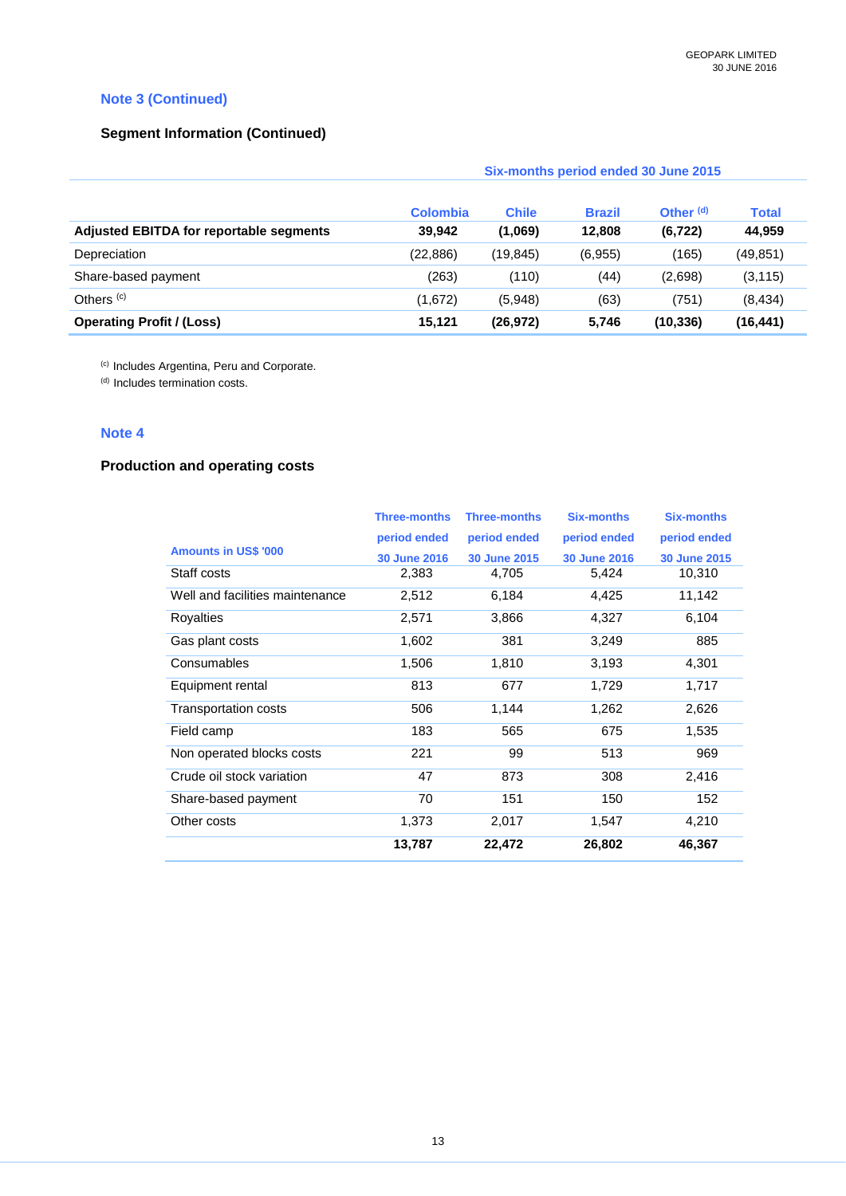### **Note 3 (Continued)**

### **Segment Information (Continued)**

|                                         | Six-months period ended 30 June 2015 |              |               |                      |              |
|-----------------------------------------|--------------------------------------|--------------|---------------|----------------------|--------------|
|                                         | <b>Colombia</b>                      | <b>Chile</b> | <b>Brazil</b> | Other <sup>(d)</sup> | <b>Total</b> |
| Adjusted EBITDA for reportable segments | 39,942                               | (1,069)      | 12,808        | (6, 722)             | 44,959       |
| Depreciation                            | (22, 886)                            | (19, 845)    | (6,955)       | (165)                | (49, 851)    |
| Share-based payment                     | (263)                                | (110)        | (44)          | (2,698)              | (3, 115)     |
| Others $(c)$                            | (1,672)                              | (5,948)      | (63)          | (751)                | (8, 434)     |
| <b>Operating Profit / (Loss)</b>        | 15,121                               | (26, 972)    | 5,746         | (10, 336)            | (16, 441)    |

(c) Includes Argentina, Peru and Corporate.

(d) Includes termination costs.

### **Note 4**

## **Production and operating costs**

|                                 | <b>Three-months</b> | <b>Three-months</b> | <b>Six-months</b> | <b>Six-months</b> |
|---------------------------------|---------------------|---------------------|-------------------|-------------------|
|                                 | period ended        | period ended        | period ended      | period ended      |
| <b>Amounts in US\$ '000</b>     | <b>30 June 2016</b> | 30 June 2015        | 30 June 2016      | 30 June 2015      |
| Staff costs                     | 2,383               | 4,705               | 5,424             | 10,310            |
| Well and facilities maintenance | 2,512               | 6,184               | 4,425             | 11,142            |
| <b>Royalties</b>                | 2,571               | 3,866               | 4,327             | 6,104             |
| Gas plant costs                 | 1,602               | 381                 | 3,249             | 885               |
| Consumables                     | 1,506               | 1,810               | 3,193             | 4,301             |
| Equipment rental                | 813                 | 677                 | 1,729             | 1,717             |
| <b>Transportation costs</b>     | 506                 | 1,144               | 1,262             | 2,626             |
| Field camp                      | 183                 | 565                 | 675               | 1,535             |
| Non operated blocks costs       | 221                 | 99                  | 513               | 969               |
| Crude oil stock variation       | 47                  | 873                 | 308               | 2,416             |
| Share-based payment             | 70                  | 151                 | 150               | 152               |
| Other costs                     | 1,373               | 2,017               | 1,547             | 4,210             |
|                                 | 13,787              | 22,472              | 26,802            | 46,367            |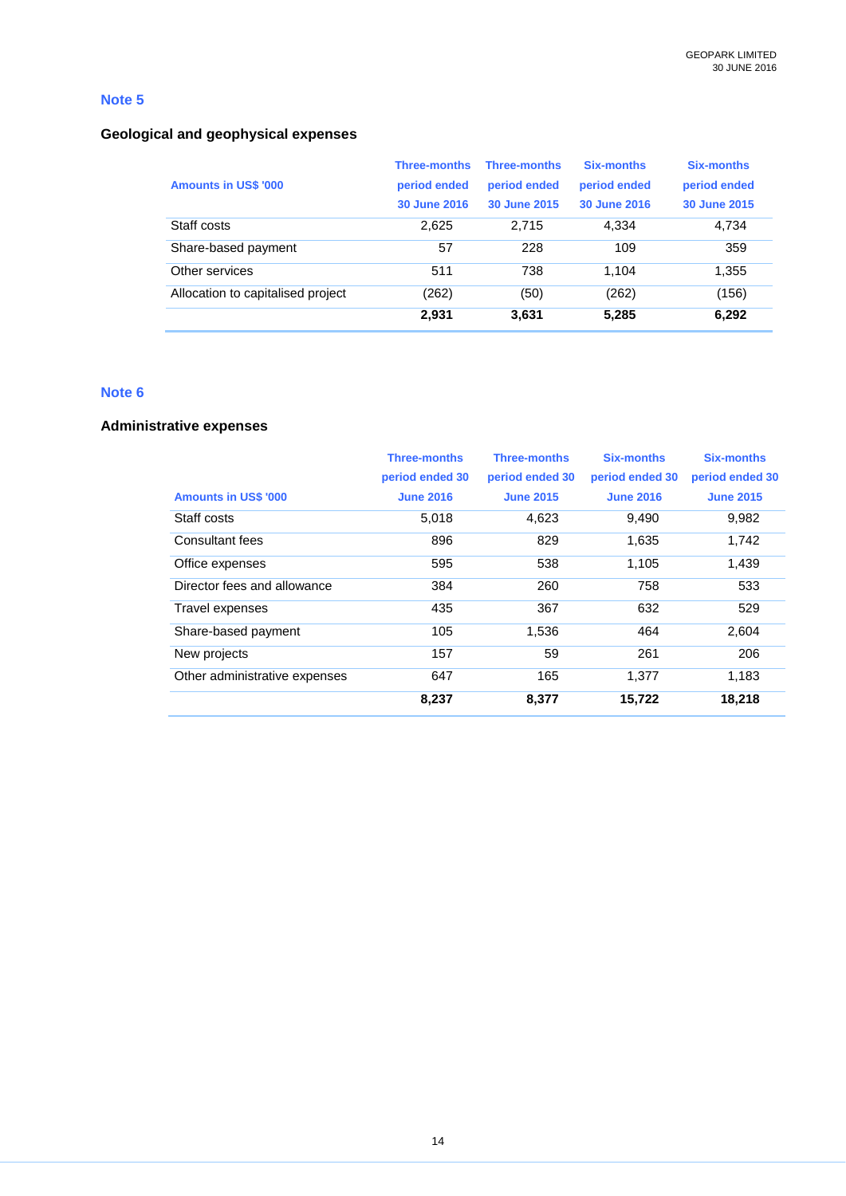### **Geological and geophysical expenses**

| <b>Amounts in US\$ '000</b>       | <b>Three-months</b><br>period ended<br>30 June 2016 | <b>Three-months</b><br>period ended<br>30 June 2015 | Six-months<br>period ended<br>30 June 2016 | Six-months<br>period ended<br>30 June 2015 |
|-----------------------------------|-----------------------------------------------------|-----------------------------------------------------|--------------------------------------------|--------------------------------------------|
| Staff costs                       | 2.625                                               | 2.715                                               | 4,334                                      | 4,734                                      |
| Share-based payment               | 57                                                  | 228                                                 | 109                                        | 359                                        |
| Other services                    | 511                                                 | 738                                                 | 1,104                                      | 1,355                                      |
| Allocation to capitalised project | (262)                                               | (50)                                                | (262)                                      | (156)                                      |
|                                   | 2,931                                               | 3,631                                               | 5,285                                      | 6,292                                      |

### **Note 6**

#### **Administrative expenses**

|                               | <b>Three-months</b> | <b>Three-months</b> | <b>Six-months</b> | <b>Six-months</b> |
|-------------------------------|---------------------|---------------------|-------------------|-------------------|
|                               | period ended 30     | period ended 30     | period ended 30   | period ended 30   |
| <b>Amounts in US\$ '000</b>   | <b>June 2016</b>    | <b>June 2015</b>    | <b>June 2016</b>  | <b>June 2015</b>  |
| Staff costs                   | 5,018               | 4,623               | 9,490             | 9,982             |
| Consultant fees               | 896                 | 829                 | 1,635             | 1,742             |
| Office expenses               | 595                 | 538                 | 1,105             | 1,439             |
| Director fees and allowance   | 384                 | 260                 | 758               | 533               |
| Travel expenses               | 435                 | 367                 | 632               | 529               |
| Share-based payment           | 105                 | 1,536               | 464               | 2,604             |
| New projects                  | 157                 | 59                  | 261               | 206               |
| Other administrative expenses | 647                 | 165                 | 1.377             | 1,183             |
|                               | 8,237               | 8,377               | 15,722            | 18,218            |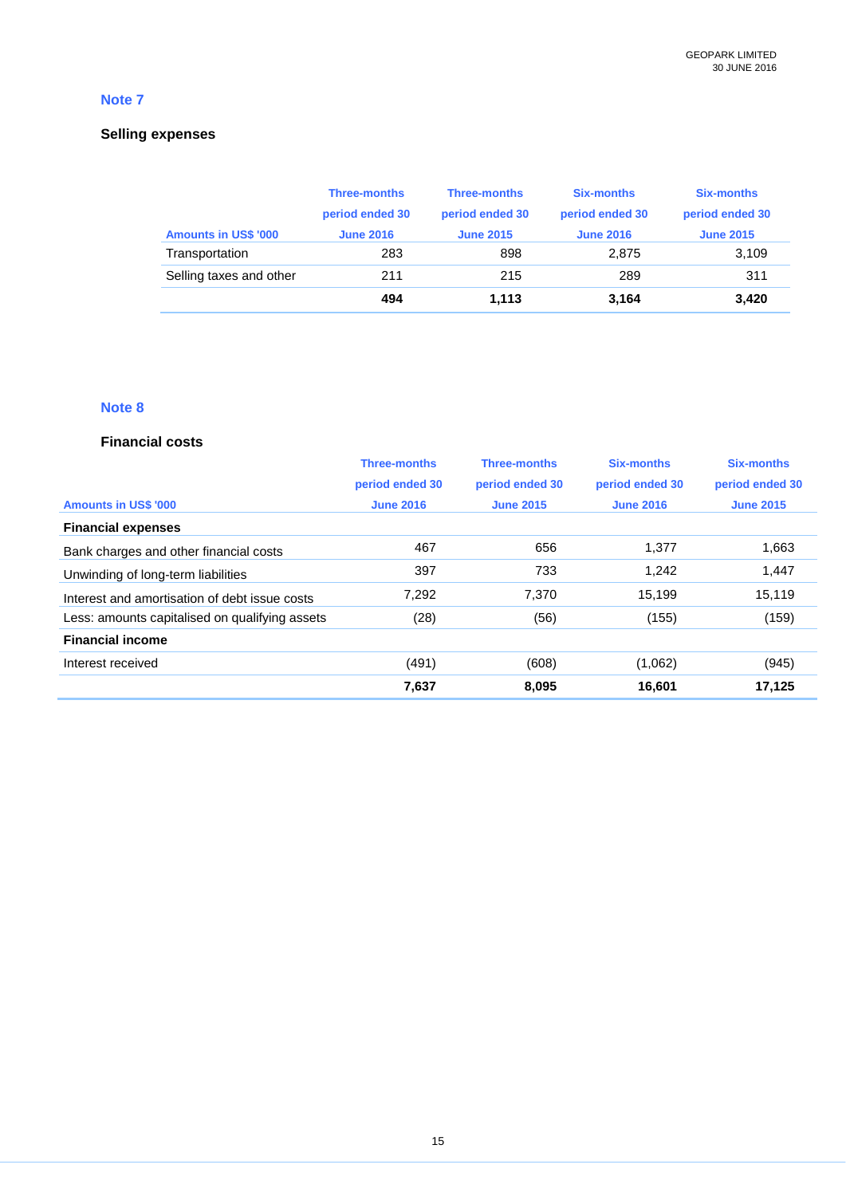### **Selling expenses**

|                             | <b>Three-months</b> | <b>Three-months</b> | <b>Six-months</b> | <b>Six-months</b> |
|-----------------------------|---------------------|---------------------|-------------------|-------------------|
|                             | period ended 30     | period ended 30     | period ended 30   | period ended 30   |
| <b>Amounts in US\$ '000</b> | <b>June 2016</b>    | <b>June 2015</b>    | <b>June 2016</b>  | <b>June 2015</b>  |
| Transportation              | 283                 | 898                 | 2.875             | 3,109             |
| Selling taxes and other     | 211                 | 215                 | 289               | 311               |
|                             | 494                 | 1.113               | 3.164             | 3,420             |

### **Note 8**

#### **Financial costs**

|                                                | <b>Three-months</b> | <b>Three-months</b> | <b>Six-months</b> | <b>Six-months</b> |
|------------------------------------------------|---------------------|---------------------|-------------------|-------------------|
|                                                | period ended 30     | period ended 30     | period ended 30   | period ended 30   |
| <b>Amounts in US\$ '000</b>                    | <b>June 2016</b>    | <b>June 2015</b>    | <b>June 2016</b>  | <b>June 2015</b>  |
| <b>Financial expenses</b>                      |                     |                     |                   |                   |
| Bank charges and other financial costs         | 467                 | 656                 | 1,377             | 1,663             |
| Unwinding of long-term liabilities             | 397                 | 733                 | 1.242             | 1,447             |
| Interest and amortisation of debt issue costs  | 7,292               | 7,370               | 15.199            | 15.119            |
| Less: amounts capitalised on qualifying assets | (28)                | (56)                | (155)             | (159)             |
| <b>Financial income</b>                        |                     |                     |                   |                   |
| Interest received                              | (491)               | (608)               | (1,062)           | (945)             |
|                                                | 7,637               | 8,095               | 16,601            | 17,125            |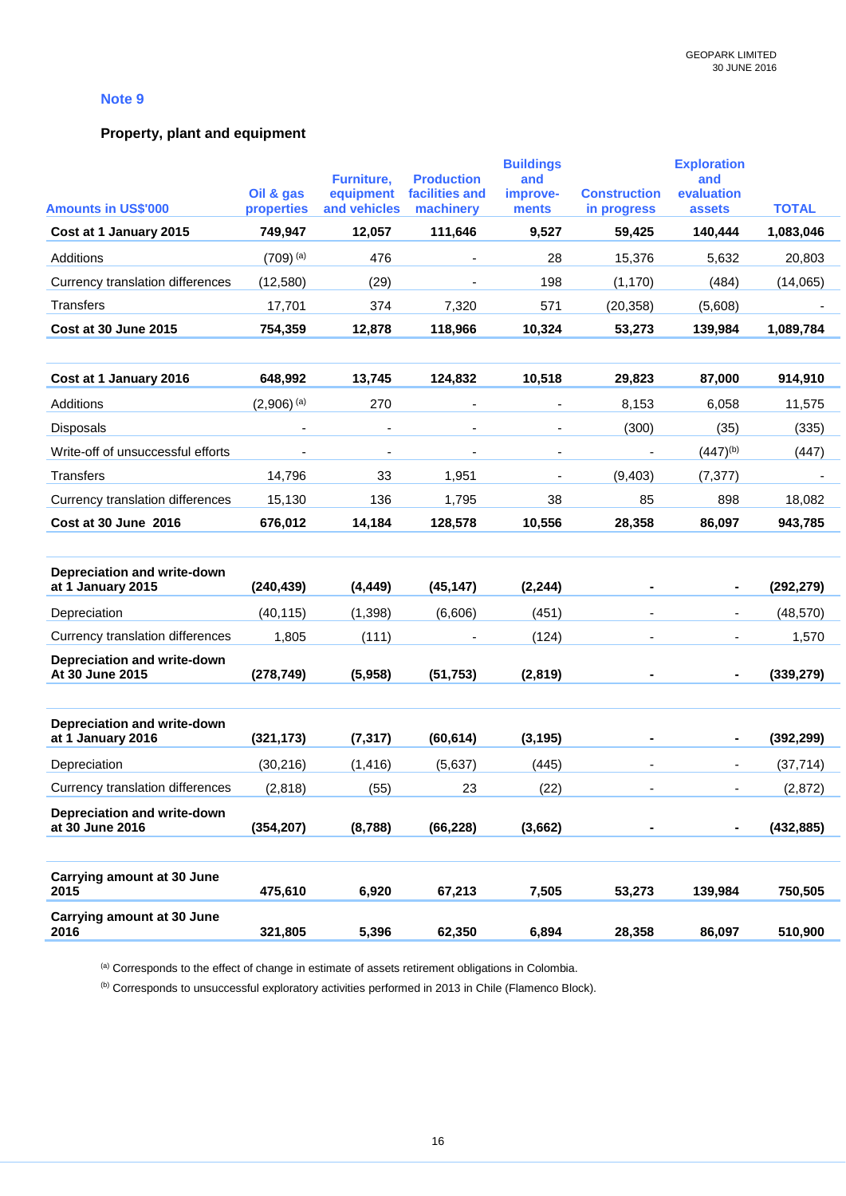### **Property, plant and equipment**

| <b>Amounts in US\$'000</b>                       | Oil & gas<br>properties | Furniture,<br>equipment<br>and vehicles | <b>Production</b><br>facilities and<br>machinery | <b>Buildings</b><br>and<br>improve-<br>ments | <b>Construction</b><br>in progress | <b>Exploration</b><br>and<br>evaluation<br>assets | <b>TOTAL</b> |
|--------------------------------------------------|-------------------------|-----------------------------------------|--------------------------------------------------|----------------------------------------------|------------------------------------|---------------------------------------------------|--------------|
| Cost at 1 January 2015                           | 749,947                 | 12,057                                  | 111,646                                          | 9,527                                        | 59,425                             | 140,444                                           | 1,083,046    |
| Additions                                        | $(709)^{(a)}$           | 476                                     |                                                  | 28                                           | 15,376                             | 5,632                                             | 20,803       |
| Currency translation differences                 | (12,580)                | (29)                                    |                                                  | 198                                          | (1, 170)                           | (484)                                             | (14,065)     |
| <b>Transfers</b>                                 | 17,701                  | 374                                     | 7,320                                            | 571                                          | (20, 358)                          | (5,608)                                           |              |
| Cost at 30 June 2015                             | 754,359                 | 12,878                                  | 118,966                                          | 10,324                                       | 53,273                             | 139,984                                           | 1,089,784    |
| Cost at 1 January 2016                           | 648,992                 | 13,745                                  | 124,832                                          | 10,518                                       | 29,823                             | 87,000                                            | 914,910      |
| Additions                                        | $(2,906)^{(a)}$         | 270                                     | $\blacksquare$                                   | $\overline{\phantom{a}}$                     | 8,153                              | 6,058                                             | 11,575       |
| Disposals                                        |                         |                                         |                                                  |                                              | (300)                              | (35)                                              | (335)        |
| Write-off of unsuccessful efforts                |                         |                                         |                                                  |                                              |                                    | $(447)^{(b)}$                                     | (447)        |
| <b>Transfers</b>                                 | 14,796                  | 33                                      | 1,951                                            | $\overline{\phantom{a}}$                     | (9, 403)                           | (7, 377)                                          |              |
| Currency translation differences                 | 15,130                  | 136                                     | 1,795                                            | 38                                           | 85                                 | 898                                               | 18,082       |
| Cost at 30 June 2016                             | 676,012                 | 14,184                                  | 128,578                                          | 10,556                                       | 28,358                             | 86,097                                            | 943,785      |
| Depreciation and write-down<br>at 1 January 2015 | (240, 439)              | (4, 449)                                | (45, 147)                                        | (2, 244)                                     |                                    |                                                   | (292, 279)   |
| Depreciation                                     | (40, 115)               | (1, 398)                                | (6,606)                                          | (451)                                        |                                    | $\sim$                                            | (48, 570)    |
| Currency translation differences                 | 1,805                   | (111)                                   |                                                  | (124)                                        |                                    |                                                   | 1,570        |
| Depreciation and write-down<br>At 30 June 2015   | (278, 749)              | (5,958)                                 | (51, 753)                                        | (2,819)                                      |                                    |                                                   | (339, 279)   |
| Depreciation and write-down<br>at 1 January 2016 | (321, 173)              | (7, 317)                                | (60, 614)                                        | (3, 195)                                     |                                    |                                                   | (392, 299)   |
| Depreciation                                     | (30, 216)               | (1, 416)                                | (5,637)                                          | (445)                                        |                                    | $\blacksquare$                                    | (37, 714)    |
| Currency translation differences                 | (2,818)                 | (55)                                    | 23                                               | (22)                                         |                                    |                                                   | (2,872)      |
| Depreciation and write-down<br>at 30 June 2016   | (354, 207)              | (8,788)                                 | (66, 228)                                        | (3,662)                                      |                                    |                                                   | (432, 885)   |
| <b>Carrying amount at 30 June</b><br>2015        | 475,610                 | 6,920                                   | 67,213                                           | 7,505                                        | 53,273                             | 139,984                                           | 750,505      |
| Carrying amount at 30 June<br>2016               | 321,805                 | 5,396                                   | 62,350                                           | 6,894                                        | 28,358                             | 86,097                                            | 510,900      |

(a) Corresponds to the effect of change in estimate of assets retirement obligations in Colombia.

(b) Corresponds to unsuccessful exploratory activities performed in 2013 in Chile (Flamenco Block).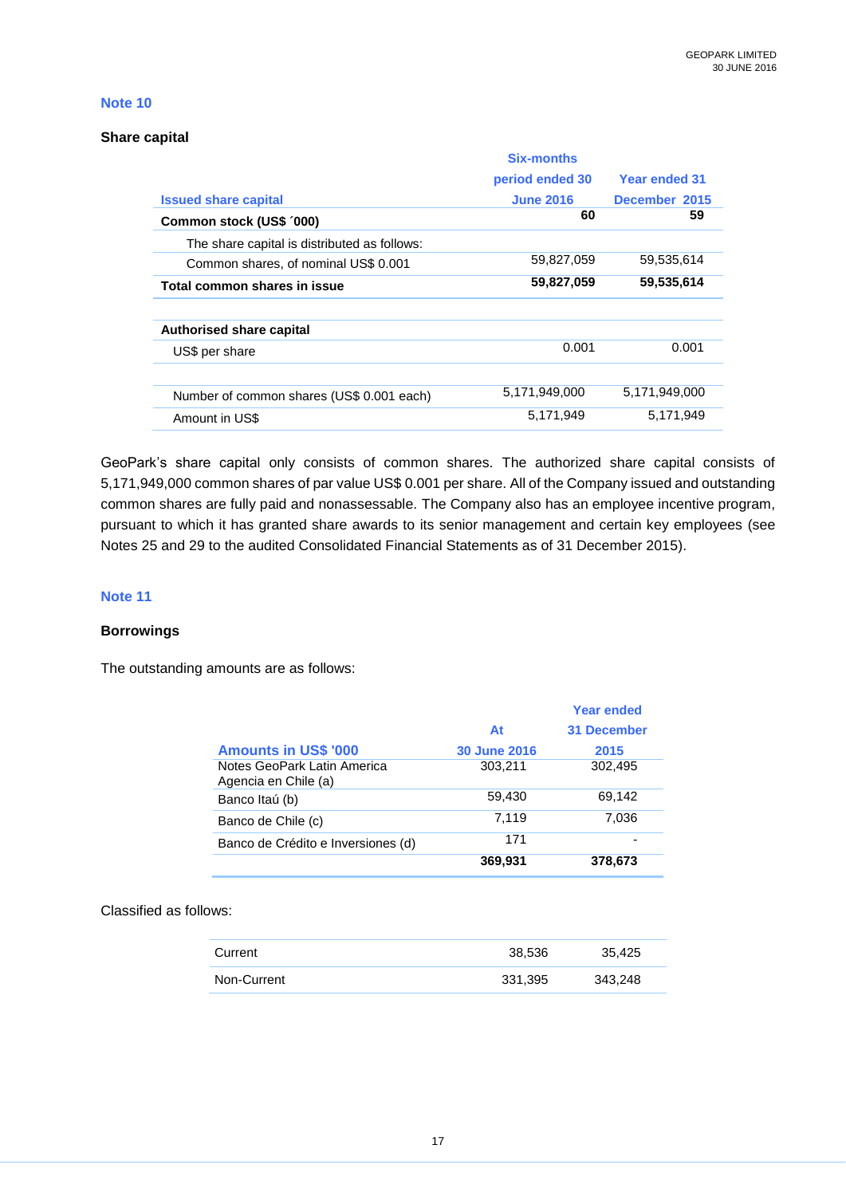#### **Share capital**

|                                              | <b>Six-months</b> |               |
|----------------------------------------------|-------------------|---------------|
|                                              | period ended 30   | Year ended 31 |
| <b>Issued share capital</b>                  | <b>June 2016</b>  | December 2015 |
| Common stock (US\$ '000)                     | 60                | 59            |
| The share capital is distributed as follows: |                   |               |
| Common shares, of nominal US\$ 0.001         | 59,827,059        | 59,535,614    |
| Total common shares in issue                 | 59,827,059        | 59,535,614    |
|                                              |                   |               |
| Authorised share capital                     |                   |               |
| US\$ per share                               | 0.001             | 0.001         |
|                                              |                   |               |
| Number of common shares (US\$ 0.001 each)    | 5,171,949,000     | 5.171.949.000 |
| Amount in US\$                               | 5.171.949         | 5.171.949     |

GeoPark's share capital only consists of common shares. The authorized share capital consists of 5,171,949,000 common shares of par value US\$ 0.001 per share. All of the Company issued and outstanding common shares are fully paid and nonassessable. The Company also has an employee incentive program, pursuant to which it has granted share awards to its senior management and certain key employees (see Notes 25 and 29 to the audited Consolidated Financial Statements as of 31 December 2015).

### **Note 11**

### **Borrowings**

The outstanding amounts are as follows:

|                                                     |                     | <b>Year ended</b>  |
|-----------------------------------------------------|---------------------|--------------------|
|                                                     | At                  | <b>31 December</b> |
| <b>Amounts in US\$ '000</b>                         | <b>30 June 2016</b> | 2015               |
| Notes GeoPark Latin America<br>Agencia en Chile (a) | 303,211             | 302,495            |
| Banco Itaú (b)                                      | 59,430              | 69,142             |
| Banco de Chile (c)                                  | 7.119               | 7,036              |
| Banco de Crédito e Inversiones (d)                  | 171                 |                    |
|                                                     | 369,931             | 378,673            |

### Classified as follows:

| Current     | 38.536  | 35.425  |
|-------------|---------|---------|
| Non-Current | 331.395 | 343,248 |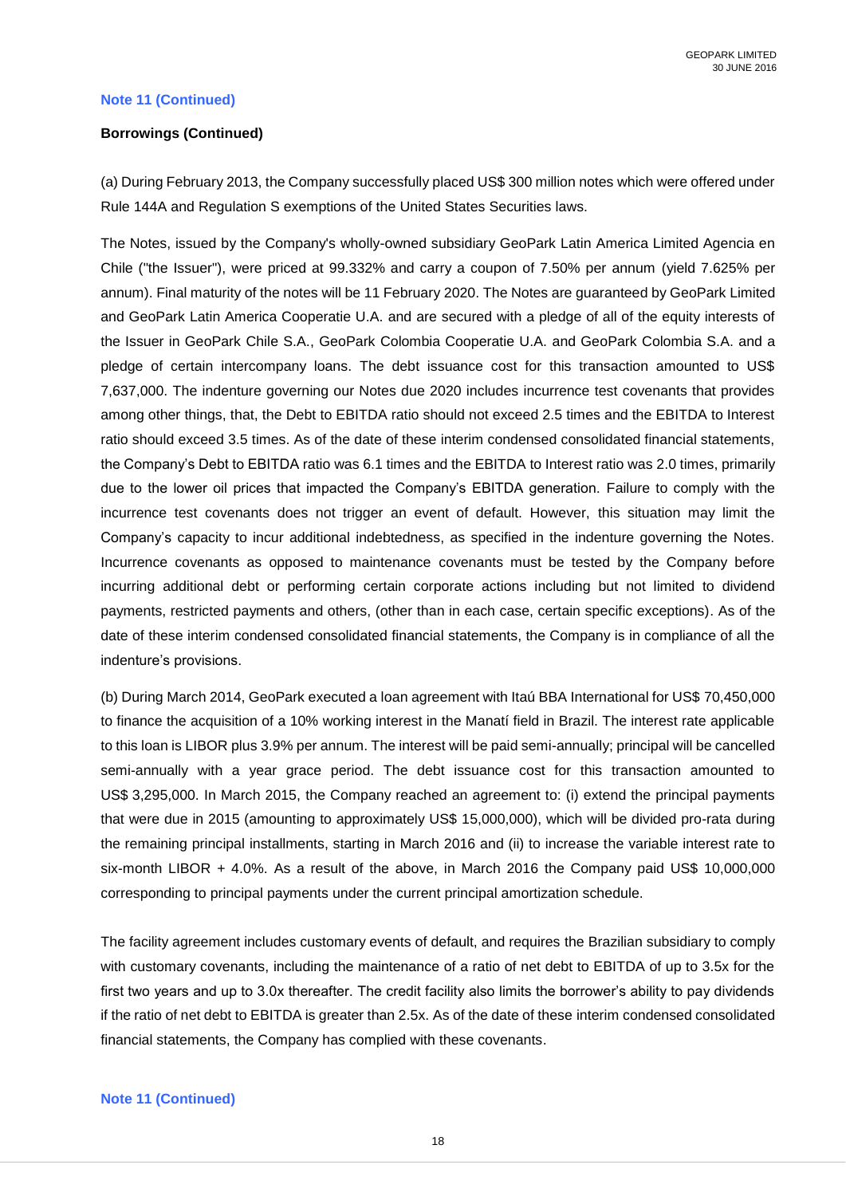#### **Note 11 (Continued)**

#### **Borrowings (Continued)**

(a) During February 2013, the Company successfully placed US\$ 300 million notes which were offered under Rule 144A and Regulation S exemptions of the United States Securities laws.

The Notes, issued by the Company's wholly-owned subsidiary GeoPark Latin America Limited Agencia en Chile ("the Issuer"), were priced at 99.332% and carry a coupon of 7.50% per annum (yield 7.625% per annum). Final maturity of the notes will be 11 February 2020. The Notes are guaranteed by GeoPark Limited and GeoPark Latin America Cooperatie U.A. and are secured with a pledge of all of the equity interests of the Issuer in GeoPark Chile S.A., GeoPark Colombia Cooperatie U.A. and GeoPark Colombia S.A. and a pledge of certain intercompany loans. The debt issuance cost for this transaction amounted to US\$ 7,637,000. The indenture governing our Notes due 2020 includes incurrence test covenants that provides among other things, that, the Debt to EBITDA ratio should not exceed 2.5 times and the EBITDA to Interest ratio should exceed 3.5 times. As of the date of these interim condensed consolidated financial statements, the Company's Debt to EBITDA ratio was 6.1 times and the EBITDA to Interest ratio was 2.0 times, primarily due to the lower oil prices that impacted the Company's EBITDA generation. Failure to comply with the incurrence test covenants does not trigger an event of default. However, this situation may limit the Company's capacity to incur additional indebtedness, as specified in the indenture governing the Notes. Incurrence covenants as opposed to maintenance covenants must be tested by the Company before incurring additional debt or performing certain corporate actions including but not limited to dividend payments, restricted payments and others, (other than in each case, certain specific exceptions). As of the date of these interim condensed consolidated financial statements, the Company is in compliance of all the indenture's provisions.

(b) During March 2014, GeoPark executed a loan agreement with Itaú BBA International for US\$ 70,450,000 to finance the acquisition of a 10% working interest in the Manatí field in Brazil. The interest rate applicable to this loan is LIBOR plus 3.9% per annum. The interest will be paid semi-annually; principal will be cancelled semi-annually with a year grace period. The debt issuance cost for this transaction amounted to US\$ 3,295,000. In March 2015, the Company reached an agreement to: (i) extend the principal payments that were due in 2015 (amounting to approximately US\$ 15,000,000), which will be divided pro-rata during the remaining principal installments, starting in March 2016 and (ii) to increase the variable interest rate to six-month LIBOR + 4.0%. As a result of the above, in March 2016 the Company paid US\$ 10,000,000 corresponding to principal payments under the current principal amortization schedule.

The facility agreement includes customary events of default, and requires the Brazilian subsidiary to comply with customary covenants, including the maintenance of a ratio of net debt to EBITDA of up to 3.5x for the first two years and up to 3.0x thereafter. The credit facility also limits the borrower's ability to pay dividends if the ratio of net debt to EBITDA is greater than 2.5x. As of the date of these interim condensed consolidated financial statements, the Company has complied with these covenants.

#### **Note 11 (Continued)**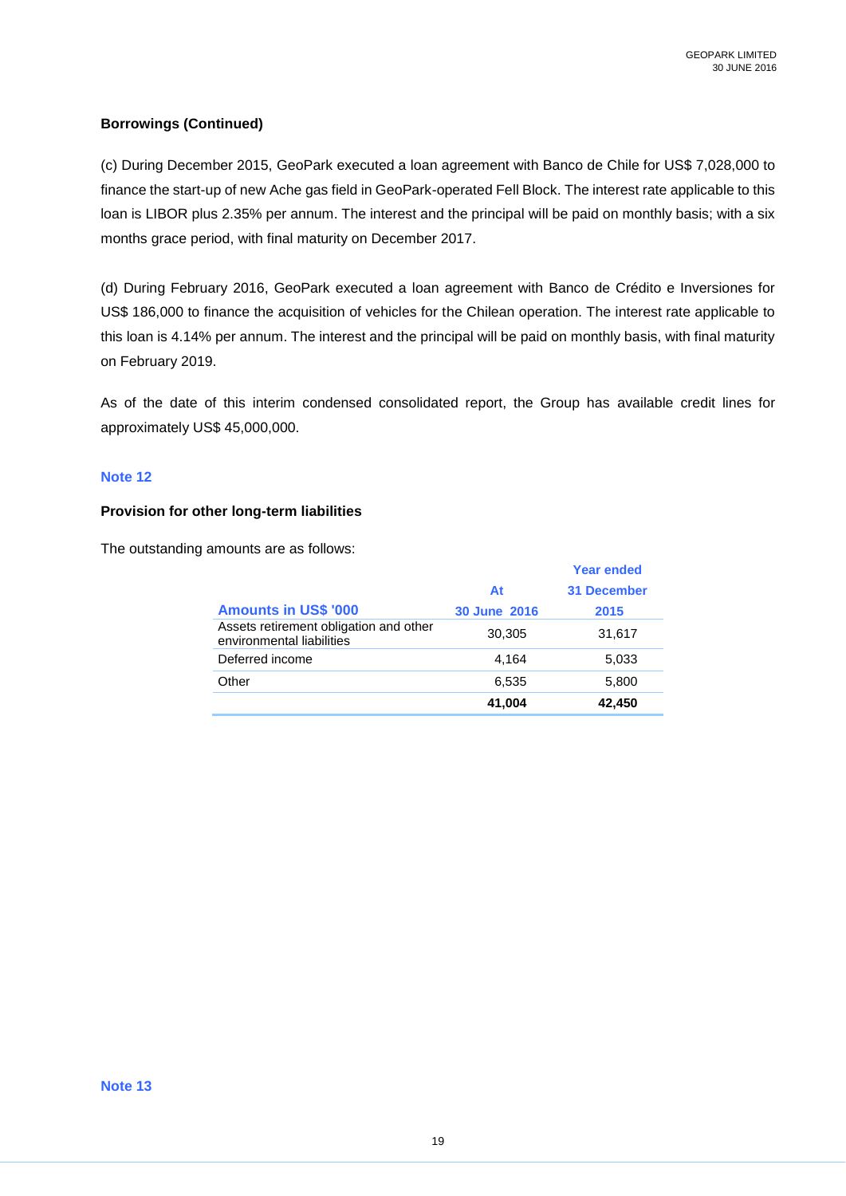### **Borrowings (Continued)**

(c) During December 2015, GeoPark executed a loan agreement with Banco de Chile for US\$ 7,028,000 to finance the start-up of new Ache gas field in GeoPark-operated Fell Block. The interest rate applicable to this loan is LIBOR plus 2.35% per annum. The interest and the principal will be paid on monthly basis; with a six months grace period, with final maturity on December 2017.

(d) During February 2016, GeoPark executed a loan agreement with Banco de Crédito e Inversiones for US\$ 186,000 to finance the acquisition of vehicles for the Chilean operation. The interest rate applicable to this loan is 4.14% per annum. The interest and the principal will be paid on monthly basis, with final maturity on February 2019.

As of the date of this interim condensed consolidated report, the Group has available credit lines for approximately US\$ 45,000,000.

#### **Note 12**

### **Provision for other long-term liabilities**

The outstanding amounts are as follows:

|                                                                     |              | <b>Year ended</b>  |
|---------------------------------------------------------------------|--------------|--------------------|
|                                                                     | At           | <b>31 December</b> |
| <b>Amounts in US\$ '000</b>                                         | 30 June 2016 | 2015               |
| Assets retirement obligation and other<br>environmental liabilities | 30,305       | 31,617             |
| Deferred income                                                     | 4.164        | 5,033              |
| Other                                                               | 6,535        | 5,800              |
|                                                                     | 41,004       | 42,450             |